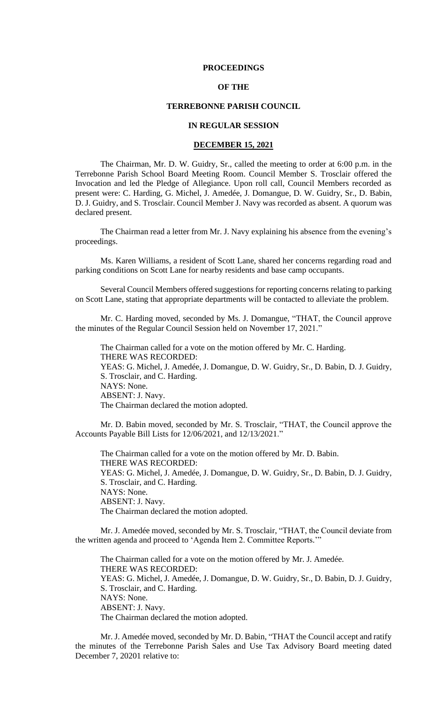#### **PROCEEDINGS**

## **OF THE**

## **TERREBONNE PARISH COUNCIL**

# **IN REGULAR SESSION**

#### **DECEMBER 15, 2021**

The Chairman, Mr. D. W. Guidry, Sr., called the meeting to order at 6:00 p.m. in the Terrebonne Parish School Board Meeting Room. Council Member S. Trosclair offered the Invocation and led the Pledge of Allegiance. Upon roll call, Council Members recorded as present were: C. Harding, G. Michel, J. Amedée, J. Domangue, D. W. Guidry, Sr., D. Babin, D. J. Guidry, and S. Trosclair. Council Member J. Navy was recorded as absent. A quorum was declared present.

The Chairman read a letter from Mr. J. Navy explaining his absence from the evening's proceedings.

Ms. Karen Williams, a resident of Scott Lane, shared her concerns regarding road and parking conditions on Scott Lane for nearby residents and base camp occupants.

Several Council Members offered suggestions for reporting concerns relating to parking on Scott Lane, stating that appropriate departments will be contacted to alleviate the problem.

Mr. C. Harding moved, seconded by Ms. J. Domangue, "THAT, the Council approve the minutes of the Regular Council Session held on November 17, 2021."

The Chairman called for a vote on the motion offered by Mr. C. Harding. THERE WAS RECORDED: YEAS: G. Michel, J. Amedée, J. Domangue, D. W. Guidry, Sr., D. Babin, D. J. Guidry, S. Trosclair, and C. Harding. NAYS: None. ABSENT: J. Navy. The Chairman declared the motion adopted.

Mr. D. Babin moved, seconded by Mr. S. Trosclair, "THAT, the Council approve the Accounts Payable Bill Lists for 12/06/2021, and 12/13/2021."

The Chairman called for a vote on the motion offered by Mr. D. Babin. THERE WAS RECORDED: YEAS: G. Michel, J. Amedée, J. Domangue, D. W. Guidry, Sr., D. Babin, D. J. Guidry, S. Trosclair, and C. Harding. NAYS: None. ABSENT: J. Navy. The Chairman declared the motion adopted.

Mr. J. Amedée moved, seconded by Mr. S. Trosclair, "THAT, the Council deviate from the written agenda and proceed to 'Agenda Item 2. Committee Reports.'"

The Chairman called for a vote on the motion offered by Mr. J. Amedée. THERE WAS RECORDED: YEAS: G. Michel, J. Amedée, J. Domangue, D. W. Guidry, Sr., D. Babin, D. J. Guidry, S. Trosclair, and C. Harding. NAYS: None. ABSENT: J. Navy. The Chairman declared the motion adopted.

Mr. J. Amedée moved, seconded by Mr. D. Babin, "THAT the Council accept and ratify the minutes of the Terrebonne Parish Sales and Use Tax Advisory Board meeting dated December 7, 20201 relative to: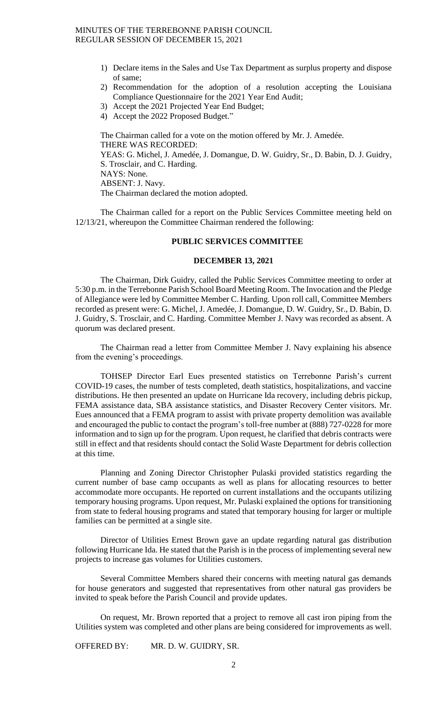- 1) Declare items in the Sales and Use Tax Department as surplus property and dispose of same;
- 2) Recommendation for the adoption of a resolution accepting the Louisiana Compliance Questionnaire for the 2021 Year End Audit;
- 3) Accept the 2021 Projected Year End Budget;
- 4) Accept the 2022 Proposed Budget."

The Chairman called for a vote on the motion offered by Mr. J. Amedée. THERE WAS RECORDED: YEAS: G. Michel, J. Amedée, J. Domangue, D. W. Guidry, Sr., D. Babin, D. J. Guidry, S. Trosclair, and C. Harding. NAYS: None. ABSENT: J. Navy. The Chairman declared the motion adopted.

The Chairman called for a report on the Public Services Committee meeting held on 12/13/21, whereupon the Committee Chairman rendered the following:

## **PUBLIC SERVICES COMMITTEE**

#### **DECEMBER 13, 2021**

The Chairman, Dirk Guidry, called the Public Services Committee meeting to order at 5:30 p.m. in the Terrebonne Parish School Board Meeting Room. The Invocation and the Pledge of Allegiance were led by Committee Member C. Harding. Upon roll call, Committee Members recorded as present were: G. Michel, J. Amedée, J. Domangue, D. W. Guidry, Sr., D. Babin, D. J. Guidry, S. Trosclair, and C. Harding. Committee Member J. Navy was recorded as absent. A quorum was declared present.

The Chairman read a letter from Committee Member J. Navy explaining his absence from the evening's proceedings.

TOHSEP Director Earl Eues presented statistics on Terrebonne Parish's current COVID-19 cases, the number of tests completed, death statistics, hospitalizations, and vaccine distributions. He then presented an update on Hurricane Ida recovery, including debris pickup, FEMA assistance data, SBA assistance statistics, and Disaster Recovery Center visitors. Mr. Eues announced that a FEMA program to assist with private property demolition was available and encouraged the public to contact the program's toll-free number at (888) 727-0228 for more information and to sign up for the program. Upon request, he clarified that debris contracts were still in effect and that residents should contact the Solid Waste Department for debris collection at this time.

Planning and Zoning Director Christopher Pulaski provided statistics regarding the current number of base camp occupants as well as plans for allocating resources to better accommodate more occupants. He reported on current installations and the occupants utilizing temporary housing programs. Upon request, Mr. Pulaski explained the options for transitioning from state to federal housing programs and stated that temporary housing for larger or multiple families can be permitted at a single site.

Director of Utilities Ernest Brown gave an update regarding natural gas distribution following Hurricane Ida. He stated that the Parish is in the process of implementing several new projects to increase gas volumes for Utilities customers.

Several Committee Members shared their concerns with meeting natural gas demands for house generators and suggested that representatives from other natural gas providers be invited to speak before the Parish Council and provide updates.

On request, Mr. Brown reported that a project to remove all cast iron piping from the Utilities system was completed and other plans are being considered for improvements as well.

OFFERED BY: MR. D. W. GUIDRY, SR.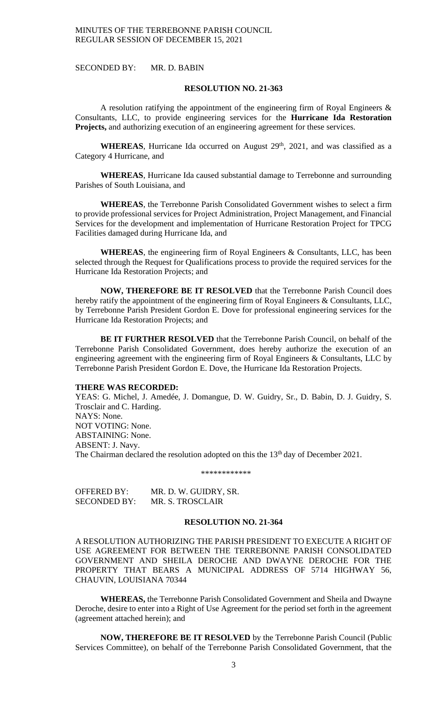SECONDED BY: MR. D. BABIN

#### **RESOLUTION NO. 21-363**

A resolution ratifying the appointment of the engineering firm of Royal Engineers  $\&$ Consultants, LLC, to provide engineering services for the **Hurricane Ida Restoration Projects,** and authorizing execution of an engineering agreement for these services.

WHEREAS, Hurricane Ida occurred on August 29<sup>th</sup>, 2021, and was classified as a Category 4 Hurricane, and

**WHEREAS**, Hurricane Ida caused substantial damage to Terrebonne and surrounding Parishes of South Louisiana, and

**WHEREAS**, the Terrebonne Parish Consolidated Government wishes to select a firm to provide professional services for Project Administration, Project Management, and Financial Services for the development and implementation of Hurricane Restoration Project for TPCG Facilities damaged during Hurricane Ida, and

**WHEREAS**, the engineering firm of Royal Engineers & Consultants, LLC, has been selected through the Request for Qualifications process to provide the required services for the Hurricane Ida Restoration Projects; and

**NOW, THEREFORE BE IT RESOLVED** that the Terrebonne Parish Council does hereby ratify the appointment of the engineering firm of Royal Engineers & Consultants, LLC, by Terrebonne Parish President Gordon E. Dove for professional engineering services for the Hurricane Ida Restoration Projects; and

**BE IT FURTHER RESOLVED** that the Terrebonne Parish Council, on behalf of the Terrebonne Parish Consolidated Government, does hereby authorize the execution of an engineering agreement with the engineering firm of Royal Engineers & Consultants, LLC by Terrebonne Parish President Gordon E. Dove, the Hurricane Ida Restoration Projects.

### **THERE WAS RECORDED:**

YEAS: G. Michel, J. Amedée, J. Domangue, D. W. Guidry, Sr., D. Babin, D. J. Guidry, S. Trosclair and C. Harding. NAYS: None. NOT VOTING: None. ABSTAINING: None. ABSENT: J. Navy. The Chairman declared the resolution adopted on this the 13<sup>th</sup> day of December 2021.

\*\*\*\*\*\*\*\*\*\*\*\*

| OFFERED BY:         | MR. D. W. GUIDRY, SR. |
|---------------------|-----------------------|
| <b>SECONDED BY:</b> | MR. S. TROSCLAIR      |

## **RESOLUTION NO. 21-364**

A RESOLUTION AUTHORIZING THE PARISH PRESIDENT TO EXECUTE A RIGHT OF USE AGREEMENT FOR BETWEEN THE TERREBONNE PARISH CONSOLIDATED GOVERNMENT AND SHEILA DEROCHE AND DWAYNE DEROCHE FOR THE PROPERTY THAT BEARS A MUNICIPAL ADDRESS OF 5714 HIGHWAY 56, CHAUVIN, LOUISIANA 70344

**WHEREAS,** the Terrebonne Parish Consolidated Government and Sheila and Dwayne Deroche, desire to enter into a Right of Use Agreement for the period set forth in the agreement (agreement attached herein); and

**NOW, THEREFORE BE IT RESOLVED** by the Terrebonne Parish Council (Public Services Committee), on behalf of the Terrebonne Parish Consolidated Government, that the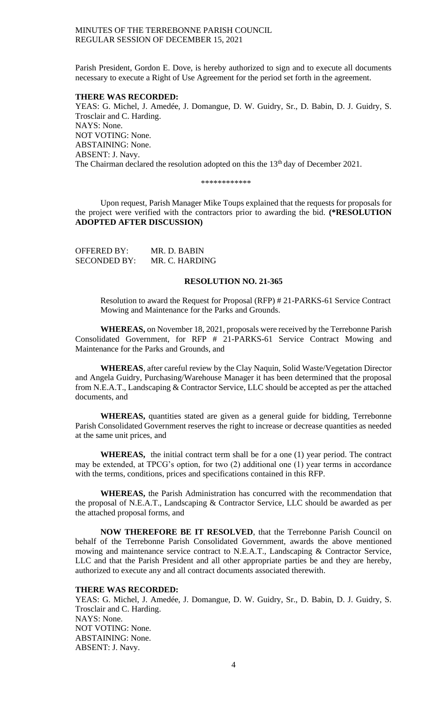Parish President, Gordon E. Dove, is hereby authorized to sign and to execute all documents necessary to execute a Right of Use Agreement for the period set forth in the agreement.

#### **THERE WAS RECORDED:**

YEAS: G. Michel, J. Amedée, J. Domangue, D. W. Guidry, Sr., D. Babin, D. J. Guidry, S. Trosclair and C. Harding. NAYS: None. NOT VOTING: None. ABSTAINING: None. ABSENT: J. Navy. The Chairman declared the resolution adopted on this the 13<sup>th</sup> day of December 2021.

#### \*\*\*\*\*\*\*\*\*\*\*\*

Upon request, Parish Manager Mike Toups explained that the requests for proposals for the project were verified with the contractors prior to awarding the bid. **(\*RESOLUTION ADOPTED AFTER DISCUSSION)**

| <b>OFFERED BY:</b>  | MR. D. BABIN   |
|---------------------|----------------|
| <b>SECONDED BY:</b> | MR. C. HARDING |

#### **RESOLUTION NO. 21-365**

Resolution to award the Request for Proposal (RFP) # 21-PARKS-61 Service Contract Mowing and Maintenance for the Parks and Grounds.

**WHEREAS,** on November 18, 2021, proposals were received by the Terrebonne Parish Consolidated Government, for RFP # 21-PARKS-61 Service Contract Mowing and Maintenance for the Parks and Grounds, and

**WHEREAS**, after careful review by the Clay Naquin, Solid Waste/Vegetation Director and Angela Guidry, Purchasing/Warehouse Manager it has been determined that the proposal from N.E.A.T., Landscaping & Contractor Service, LLC should be accepted as per the attached documents, and

**WHEREAS,** quantities stated are given as a general guide for bidding, Terrebonne Parish Consolidated Government reserves the right to increase or decrease quantities as needed at the same unit prices, and

**WHEREAS,** the initial contract term shall be for a one (1) year period. The contract may be extended, at TPCG's option, for two (2) additional one (1) year terms in accordance with the terms, conditions, prices and specifications contained in this RFP.

**WHEREAS,** the Parish Administration has concurred with the recommendation that the proposal of N.E.A.T., Landscaping & Contractor Service, LLC should be awarded as per the attached proposal forms, and

**NOW THEREFORE BE IT RESOLVED**, that the Terrebonne Parish Council on behalf of the Terrebonne Parish Consolidated Government, awards the above mentioned mowing and maintenance service contract to N.E.A.T., Landscaping & Contractor Service, LLC and that the Parish President and all other appropriate parties be and they are hereby, authorized to execute any and all contract documents associated therewith.

## **THERE WAS RECORDED:**

YEAS: G. Michel, J. Amedée, J. Domangue, D. W. Guidry, Sr., D. Babin, D. J. Guidry, S. Trosclair and C. Harding. NAYS: None. NOT VOTING: None. ABSTAINING: None. ABSENT: J. Navy.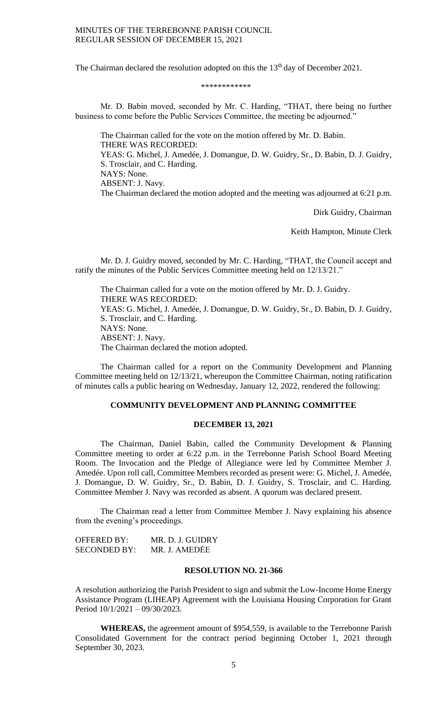The Chairman declared the resolution adopted on this the 13<sup>th</sup> day of December 2021.

#### \*\*\*\*\*\*\*\*\*\*\*\*

Mr. D. Babin moved, seconded by Mr. C. Harding, "THAT, there being no further business to come before the Public Services Committee, the meeting be adjourned."

The Chairman called for the vote on the motion offered by Mr. D. Babin. THERE WAS RECORDED: YEAS: G. Michel, J. Amedée, J. Domangue, D. W. Guidry, Sr., D. Babin, D. J. Guidry, S. Trosclair, and C. Harding. NAYS: None. ABSENT: J. Navy. The Chairman declared the motion adopted and the meeting was adjourned at 6:21 p.m.

Dirk Guidry, Chairman

Keith Hampton, Minute Clerk

Mr. D. J. Guidry moved, seconded by Mr. C. Harding, "THAT, the Council accept and ratify the minutes of the Public Services Committee meeting held on 12/13/21."

The Chairman called for a vote on the motion offered by Mr. D. J. Guidry. THERE WAS RECORDED: YEAS: G. Michel, J. Amedée, J. Domangue, D. W. Guidry, Sr., D. Babin, D. J. Guidry, S. Trosclair, and C. Harding. NAYS: None. ABSENT: J. Navy. The Chairman declared the motion adopted.

The Chairman called for a report on the Community Development and Planning Committee meeting held on 12/13/21, whereupon the Committee Chairman, noting ratification of minutes calls a public hearing on Wednesday, January 12, 2022, rendered the following:

#### **COMMUNITY DEVELOPMENT AND PLANNING COMMITTEE**

#### **DECEMBER 13, 2021**

The Chairman, Daniel Babin, called the Community Development & Planning Committee meeting to order at 6:22 p.m. in the Terrebonne Parish School Board Meeting Room. The Invocation and the Pledge of Allegiance were led by Committee Member J. Amedée. Upon roll call, Committee Members recorded as present were: G. Michel, J. Amedée, J. Domangue, D. W. Guidry, Sr., D. Babin, D. J. Guidry, S. Trosclair, and C. Harding. Committee Member J. Navy was recorded as absent. A quorum was declared present.

The Chairman read a letter from Committee Member J. Navy explaining his absence from the evening's proceedings.

| OFFERED BY:         | MR. D. J. GUIDRY |
|---------------------|------------------|
| <b>SECONDED BY:</b> | MR. J. AMEDEE    |

### **RESOLUTION NO. 21-366**

A resolution authorizing the Parish President to sign and submit the Low-Income Home Energy Assistance Program (LIHEAP) Agreement with the Louisiana Housing Corporation for Grant Period 10/1/2021 – 09/30/2023.

**WHEREAS,** the agreement amount of \$954,559, is available to the Terrebonne Parish Consolidated Government for the contract period beginning October 1, 2021 through September 30, 2023.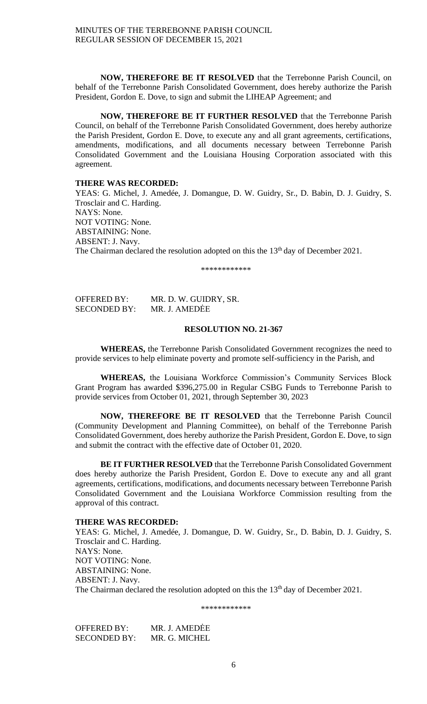**NOW, THEREFORE BE IT RESOLVED** that the Terrebonne Parish Council, on behalf of the Terrebonne Parish Consolidated Government, does hereby authorize the Parish President, Gordon E. Dove, to sign and submit the LIHEAP Agreement; and

**NOW, THEREFORE BE IT FURTHER RESOLVED** that the Terrebonne Parish Council, on behalf of the Terrebonne Parish Consolidated Government, does hereby authorize the Parish President, Gordon E. Dove, to execute any and all grant agreements, certifications, amendments, modifications, and all documents necessary between Terrebonne Parish Consolidated Government and the Louisiana Housing Corporation associated with this agreement.

# **THERE WAS RECORDED:**

YEAS: G. Michel, J. Amedée, J. Domangue, D. W. Guidry, Sr., D. Babin, D. J. Guidry, S. Trosclair and C. Harding. NAYS: None. NOT VOTING: None. ABSTAINING: None. ABSENT: J. Navy. The Chairman declared the resolution adopted on this the 13<sup>th</sup> day of December 2021.

\*\*\*\*\*\*\*\*\*\*\*\*

OFFERED BY: MR. D. W. GUIDRY, SR. SECONDED BY: MR. J. AMEDĖE

# **RESOLUTION NO. 21-367**

**WHEREAS,** the Terrebonne Parish Consolidated Government recognizes the need to provide services to help eliminate poverty and promote self-sufficiency in the Parish, and

**WHEREAS,** the Louisiana Workforce Commission's Community Services Block Grant Program has awarded \$396,275.00 in Regular CSBG Funds to Terrebonne Parish to provide services from October 01, 2021, through September 30, 2023

**NOW, THEREFORE BE IT RESOLVED** that the Terrebonne Parish Council (Community Development and Planning Committee), on behalf of the Terrebonne Parish Consolidated Government, does hereby authorize the Parish President, Gordon E. Dove, to sign and submit the contract with the effective date of October 01, 2020.

**BE IT FURTHER RESOLVED** that the Terrebonne Parish Consolidated Government does hereby authorize the Parish President, Gordon E. Dove to execute any and all grant agreements, certifications, modifications, and documents necessary between Terrebonne Parish Consolidated Government and the Louisiana Workforce Commission resulting from the approval of this contract.

#### **THERE WAS RECORDED:**

YEAS: G. Michel, J. Amedée, J. Domangue, D. W. Guidry, Sr., D. Babin, D. J. Guidry, S. Trosclair and C. Harding. NAYS: None. NOT VOTING: None. ABSTAINING: None. ABSENT: J. Navy. The Chairman declared the resolution adopted on this the 13<sup>th</sup> day of December 2021.

\*\*\*\*\*\*\*\*\*\*\*\*

OFFERED BY: MR. J. AMEDĖE SECONDED BY: MR. G. MICHEL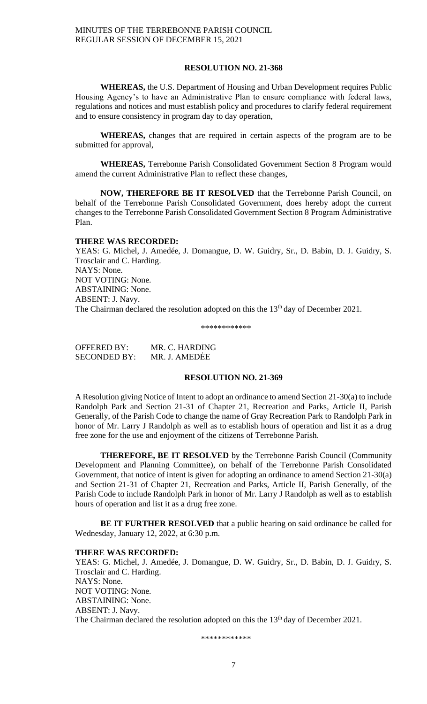#### **RESOLUTION NO. 21-368**

**WHEREAS,** the U.S. Department of Housing and Urban Development requires Public Housing Agency's to have an Administrative Plan to ensure compliance with federal laws, regulations and notices and must establish policy and procedures to clarify federal requirement and to ensure consistency in program day to day operation,

**WHEREAS,** changes that are required in certain aspects of the program are to be submitted for approval,

**WHEREAS,** Terrebonne Parish Consolidated Government Section 8 Program would amend the current Administrative Plan to reflect these changes,

**NOW, THEREFORE BE IT RESOLVED** that the Terrebonne Parish Council, on behalf of the Terrebonne Parish Consolidated Government, does hereby adopt the current changes to the Terrebonne Parish Consolidated Government Section 8 Program Administrative Plan.

#### **THERE WAS RECORDED:**

YEAS: G. Michel, J. Amedée, J. Domangue, D. W. Guidry, Sr., D. Babin, D. J. Guidry, S. Trosclair and C. Harding. NAYS: None. NOT VOTING: None. ABSTAINING: None. ABSENT: J. Navy. The Chairman declared the resolution adopted on this the 13<sup>th</sup> day of December 2021.

\*\*\*\*\*\*\*\*\*\*\*\*

| <b>OFFERED BY:</b>  | MR. C. HARDING |
|---------------------|----------------|
| <b>SECONDED BY:</b> | MR. J. AMEDĖE  |

### **RESOLUTION NO. 21-369**

A Resolution giving Notice of Intent to adopt an ordinance to amend Section 21-30(a) to include Randolph Park and Section 21-31 of Chapter 21, Recreation and Parks, Article II, Parish Generally, of the Parish Code to change the name of Gray Recreation Park to Randolph Park in honor of Mr. Larry J Randolph as well as to establish hours of operation and list it as a drug free zone for the use and enjoyment of the citizens of Terrebonne Parish.

**THEREFORE, BE IT RESOLVED** by the Terrebonne Parish Council (Community Development and Planning Committee), on behalf of the Terrebonne Parish Consolidated Government, that notice of intent is given for adopting an ordinance to amend Section 21-30(a) and Section 21-31 of Chapter 21, Recreation and Parks, Article II, Parish Generally, of the Parish Code to include Randolph Park in honor of Mr. Larry J Randolph as well as to establish hours of operation and list it as a drug free zone.

**BE IT FURTHER RESOLVED** that a public hearing on said ordinance be called for Wednesday, January 12, 2022, at 6:30 p.m.

#### **THERE WAS RECORDED:**

YEAS: G. Michel, J. Amedée, J. Domangue, D. W. Guidry, Sr., D. Babin, D. J. Guidry, S. Trosclair and C. Harding. NAYS: None. NOT VOTING: None. ABSTAINING: None. ABSENT: J. Navy. The Chairman declared the resolution adopted on this the 13<sup>th</sup> day of December 2021.

\*\*\*\*\*\*\*\*\*\*\*\*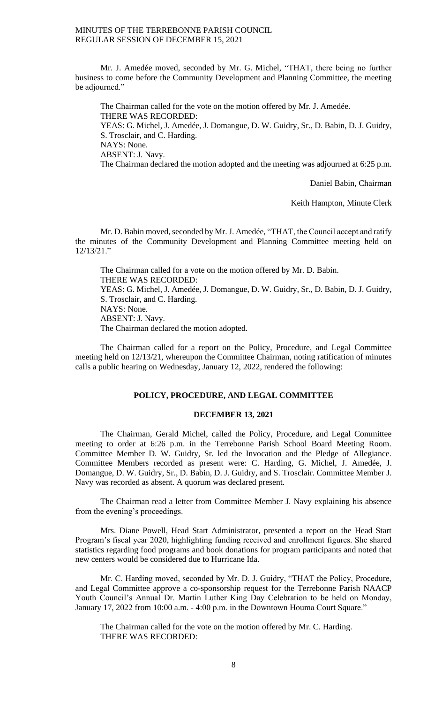Mr. J. Amedée moved, seconded by Mr. G. Michel, "THAT, there being no further business to come before the Community Development and Planning Committee, the meeting be adjourned."

The Chairman called for the vote on the motion offered by Mr. J. Amedée. THERE WAS RECORDED: YEAS: G. Michel, J. Amedée, J. Domangue, D. W. Guidry, Sr., D. Babin, D. J. Guidry, S. Trosclair, and C. Harding. NAYS: None. ABSENT: J. Navy. The Chairman declared the motion adopted and the meeting was adjourned at 6:25 p.m.

Daniel Babin, Chairman

Keith Hampton, Minute Clerk

Mr. D. Babin moved, seconded by Mr.J. Amedée, "THAT, the Council accept and ratify the minutes of the Community Development and Planning Committee meeting held on 12/13/21."

The Chairman called for a vote on the motion offered by Mr. D. Babin. THERE WAS RECORDED: YEAS: G. Michel, J. Amedée, J. Domangue, D. W. Guidry, Sr., D. Babin, D. J. Guidry, S. Trosclair, and C. Harding. NAYS: None. ABSENT: J. Navy. The Chairman declared the motion adopted.

The Chairman called for a report on the Policy, Procedure, and Legal Committee meeting held on 12/13/21, whereupon the Committee Chairman, noting ratification of minutes calls a public hearing on Wednesday, January 12, 2022, rendered the following:

## **POLICY, PROCEDURE, AND LEGAL COMMITTEE**

#### **DECEMBER 13, 2021**

The Chairman, Gerald Michel, called the Policy, Procedure, and Legal Committee meeting to order at 6:26 p.m. in the Terrebonne Parish School Board Meeting Room. Committee Member D. W. Guidry, Sr. led the Invocation and the Pledge of Allegiance. Committee Members recorded as present were: C. Harding, G. Michel, J. Amedée, J. Domangue, D. W. Guidry, Sr., D. Babin, D. J. Guidry, and S. Trosclair. Committee Member J. Navy was recorded as absent. A quorum was declared present.

The Chairman read a letter from Committee Member J. Navy explaining his absence from the evening's proceedings.

Mrs. Diane Powell, Head Start Administrator, presented a report on the Head Start Program's fiscal year 2020, highlighting funding received and enrollment figures. She shared statistics regarding food programs and book donations for program participants and noted that new centers would be considered due to Hurricane Ida.

Mr. C. Harding moved, seconded by Mr. D. J. Guidry, "THAT the Policy, Procedure, and Legal Committee approve a co-sponsorship request for the Terrebonne Parish NAACP Youth Council's Annual Dr. Martin Luther King Day Celebration to be held on Monday, January 17, 2022 from 10:00 a.m. - 4:00 p.m. in the Downtown Houma Court Square."

The Chairman called for the vote on the motion offered by Mr. C. Harding. THERE WAS RECORDED: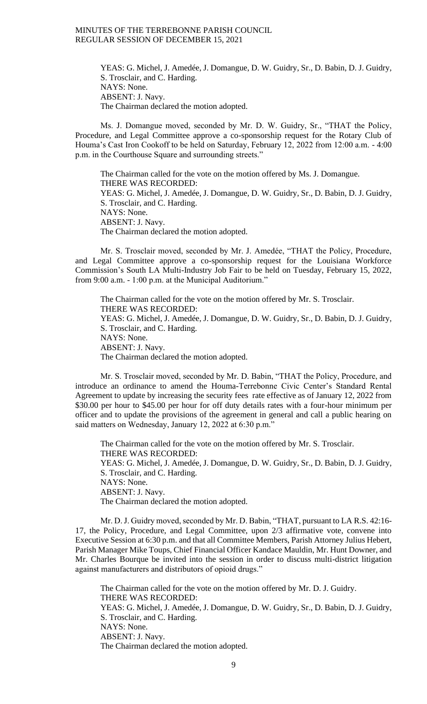YEAS: G. Michel, J. Amedée, J. Domangue, D. W. Guidry, Sr., D. Babin, D. J. Guidry, S. Trosclair, and C. Harding. NAYS: None. ABSENT: J. Navy. The Chairman declared the motion adopted.

Ms. J. Domangue moved, seconded by Mr. D. W. Guidry, Sr., "THAT the Policy, Procedure, and Legal Committee approve a co-sponsorship request for the Rotary Club of Houma's Cast Iron Cookoff to be held on Saturday, February 12, 2022 from 12:00 a.m. - 4:00 p.m. in the Courthouse Square and surrounding streets."

The Chairman called for the vote on the motion offered by Ms. J. Domangue. THERE WAS RECORDED: YEAS: G. Michel, J. Amedée, J. Domangue, D. W. Guidry, Sr., D. Babin, D. J. Guidry, S. Trosclair, and C. Harding. NAYS: None. ABSENT: J. Navy. The Chairman declared the motion adopted.

Mr. S. Trosclair moved, seconded by Mr. J. Amedée, "THAT the Policy, Procedure, and Legal Committee approve a co-sponsorship request for the Louisiana Workforce Commission's South LA Multi-Industry Job Fair to be held on Tuesday, February 15, 2022, from 9:00 a.m. - 1:00 p.m. at the Municipal Auditorium."

The Chairman called for the vote on the motion offered by Mr. S. Trosclair. THERE WAS RECORDED: YEAS: G. Michel, J. Amedée, J. Domangue, D. W. Guidry, Sr., D. Babin, D. J. Guidry, S. Trosclair, and C. Harding. NAYS: None. ABSENT: J. Navy. The Chairman declared the motion adopted.

Mr. S. Trosclair moved, seconded by Mr. D. Babin, "THAT the Policy, Procedure, and introduce an ordinance to amend the Houma-Terrebonne Civic Center's Standard Rental Agreement to update by increasing the security fees rate effective as of January 12, 2022 from \$30.00 per hour to \$45.00 per hour for off duty details rates with a four-hour minimum per officer and to update the provisions of the agreement in general and call a public hearing on said matters on Wednesday, January 12, 2022 at 6:30 p.m."

The Chairman called for the vote on the motion offered by Mr. S. Trosclair. THERE WAS RECORDED: YEAS: G. Michel, J. Amedée, J. Domangue, D. W. Guidry, Sr., D. Babin, D. J. Guidry, S. Trosclair, and C. Harding. NAYS: None. ABSENT: J. Navy. The Chairman declared the motion adopted.

Mr. D. J. Guidry moved, seconded by Mr. D. Babin, "THAT, pursuant to LA R.S. 42:16- 17, the Policy, Procedure, and Legal Committee, upon 2/3 affirmative vote, convene into Executive Session at 6:30 p.m. and that all Committee Members, Parish Attorney Julius Hebert, Parish Manager Mike Toups, Chief Financial Officer Kandace Mauldin, Mr. Hunt Downer, and Mr. Charles Bourque be invited into the session in order to discuss multi-district litigation against manufacturers and distributors of opioid drugs."

The Chairman called for the vote on the motion offered by Mr. D. J. Guidry. THERE WAS RECORDED: YEAS: G. Michel, J. Amedée, J. Domangue, D. W. Guidry, Sr., D. Babin, D. J. Guidry, S. Trosclair, and C. Harding. NAYS: None. ABSENT: J. Navy. The Chairman declared the motion adopted.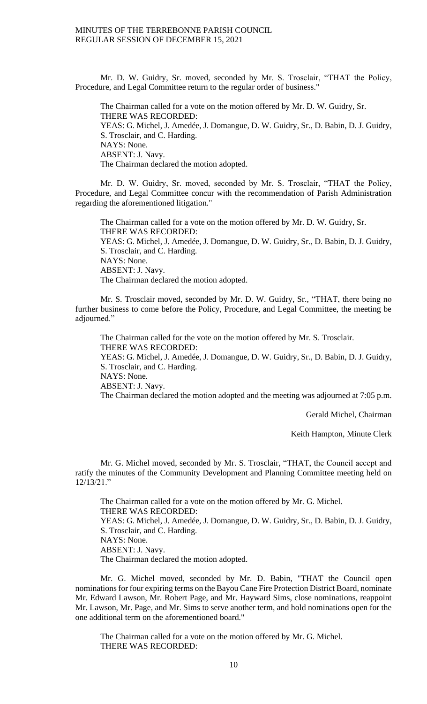Mr. D. W. Guidry, Sr. moved, seconded by Mr. S. Trosclair, "THAT the Policy, Procedure, and Legal Committee return to the regular order of business."

The Chairman called for a vote on the motion offered by Mr. D. W. Guidry, Sr. THERE WAS RECORDED: YEAS: G. Michel, J. Amedée, J. Domangue, D. W. Guidry, Sr., D. Babin, D. J. Guidry, S. Trosclair, and C. Harding. NAYS: None. ABSENT: J. Navy. The Chairman declared the motion adopted.

Mr. D. W. Guidry, Sr. moved, seconded by Mr. S. Trosclair, "THAT the Policy, Procedure, and Legal Committee concur with the recommendation of Parish Administration regarding the aforementioned litigation."

The Chairman called for a vote on the motion offered by Mr. D. W. Guidry, Sr. THERE WAS RECORDED: YEAS: G. Michel, J. Amedée, J. Domangue, D. W. Guidry, Sr., D. Babin, D. J. Guidry, S. Trosclair, and C. Harding. NAYS: None. ABSENT: J. Navy. The Chairman declared the motion adopted.

Mr. S. Trosclair moved, seconded by Mr. D. W. Guidry, Sr., "THAT, there being no further business to come before the Policy, Procedure, and Legal Committee, the meeting be adjourned."

The Chairman called for the vote on the motion offered by Mr. S. Trosclair. THERE WAS RECORDED: YEAS: G. Michel, J. Amedée, J. Domangue, D. W. Guidry, Sr., D. Babin, D. J. Guidry, S. Trosclair, and C. Harding. NAYS: None. ABSENT: J. Navy. The Chairman declared the motion adopted and the meeting was adjourned at 7:05 p.m.

Gerald Michel, Chairman

Keith Hampton, Minute Clerk

Mr. G. Michel moved, seconded by Mr. S. Trosclair, "THAT, the Council accept and ratify the minutes of the Community Development and Planning Committee meeting held on  $12/13/21$ ."

The Chairman called for a vote on the motion offered by Mr. G. Michel. THERE WAS RECORDED: YEAS: G. Michel, J. Amedée, J. Domangue, D. W. Guidry, Sr., D. Babin, D. J. Guidry, S. Trosclair, and C. Harding. NAYS: None. ABSENT: J. Navy. The Chairman declared the motion adopted.

Mr. G. Michel moved, seconded by Mr. D. Babin, "THAT the Council open nominations for four expiring terms on the Bayou Cane Fire Protection District Board, nominate Mr. Edward Lawson, Mr. Robert Page, and Mr. Hayward Sims, close nominations, reappoint Mr. Lawson, Mr. Page, and Mr. Sims to serve another term, and hold nominations open for the one additional term on the aforementioned board."

The Chairman called for a vote on the motion offered by Mr. G. Michel. THERE WAS RECORDED: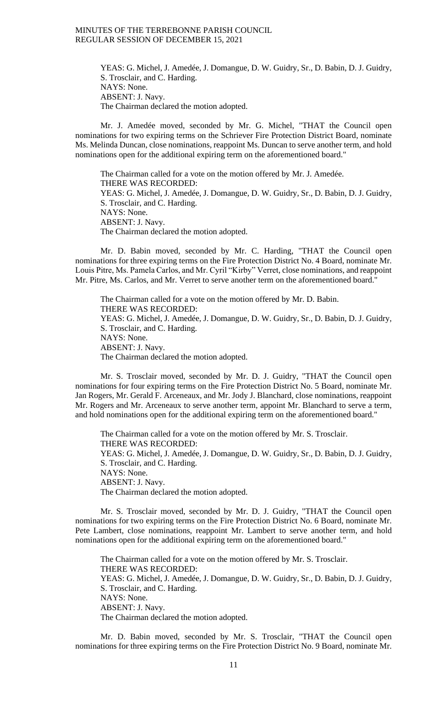YEAS: G. Michel, J. Amedée, J. Domangue, D. W. Guidry, Sr., D. Babin, D. J. Guidry, S. Trosclair, and C. Harding. NAYS: None. ABSENT: J. Navy. The Chairman declared the motion adopted.

Mr. J. Amedée moved, seconded by Mr. G. Michel, "THAT the Council open nominations for two expiring terms on the Schriever Fire Protection District Board, nominate Ms. Melinda Duncan, close nominations, reappoint Ms. Duncan to serve another term, and hold nominations open for the additional expiring term on the aforementioned board."

The Chairman called for a vote on the motion offered by Mr. J. Amedée. THERE WAS RECORDED: YEAS: G. Michel, J. Amedée, J. Domangue, D. W. Guidry, Sr., D. Babin, D. J. Guidry, S. Trosclair, and C. Harding. NAYS: None. ABSENT: J. Navy. The Chairman declared the motion adopted.

Mr. D. Babin moved, seconded by Mr. C. Harding, "THAT the Council open nominations for three expiring terms on the Fire Protection District No. 4 Board, nominate Mr. Louis Pitre, Ms. Pamela Carlos, and Mr. Cyril "Kirby" Verret, close nominations, and reappoint Mr. Pitre, Ms. Carlos, and Mr. Verret to serve another term on the aforementioned board."

The Chairman called for a vote on the motion offered by Mr. D. Babin. THERE WAS RECORDED: YEAS: G. Michel, J. Amedée, J. Domangue, D. W. Guidry, Sr., D. Babin, D. J. Guidry, S. Trosclair, and C. Harding. NAYS: None. ABSENT: J. Navy. The Chairman declared the motion adopted.

Mr. S. Trosclair moved, seconded by Mr. D. J. Guidry, "THAT the Council open nominations for four expiring terms on the Fire Protection District No. 5 Board, nominate Mr. Jan Rogers, Mr. Gerald F. Arceneaux, and Mr. Jody J. Blanchard, close nominations, reappoint Mr. Rogers and Mr. Arceneaux to serve another term, appoint Mr. Blanchard to serve a term, and hold nominations open for the additional expiring term on the aforementioned board."

The Chairman called for a vote on the motion offered by Mr. S. Trosclair. THERE WAS RECORDED: YEAS: G. Michel, J. Amedée, J. Domangue, D. W. Guidry, Sr., D. Babin, D. J. Guidry, S. Trosclair, and C. Harding. NAYS: None. ABSENT: J. Navy. The Chairman declared the motion adopted.

Mr. S. Trosclair moved, seconded by Mr. D. J. Guidry, "THAT the Council open nominations for two expiring terms on the Fire Protection District No. 6 Board, nominate Mr. Pete Lambert, close nominations, reappoint Mr. Lambert to serve another term, and hold nominations open for the additional expiring term on the aforementioned board."

The Chairman called for a vote on the motion offered by Mr. S. Trosclair. THERE WAS RECORDED: YEAS: G. Michel, J. Amedée, J. Domangue, D. W. Guidry, Sr., D. Babin, D. J. Guidry, S. Trosclair, and C. Harding. NAYS: None. ABSENT: J. Navy. The Chairman declared the motion adopted.

Mr. D. Babin moved, seconded by Mr. S. Trosclair, "THAT the Council open nominations for three expiring terms on the Fire Protection District No. 9 Board, nominate Mr.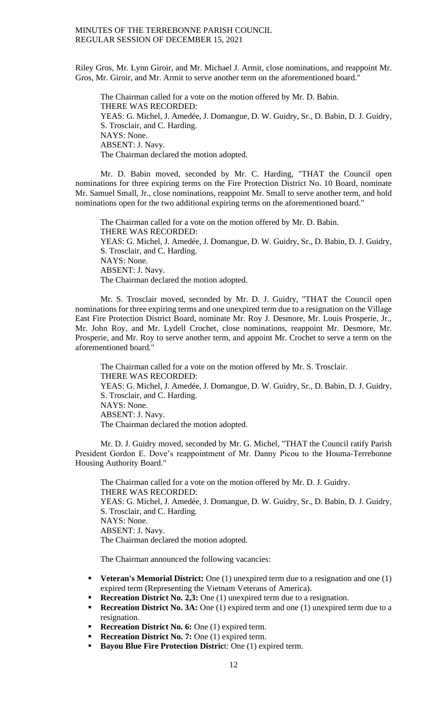Riley Gros, Mr. Lynn Giroir, and Mr. Michael J. Armit, close nominations, and reappoint Mr. Gros, Mr. Giroir, and Mr. Armit to serve another term on the aforementioned board."

The Chairman called for a vote on the motion offered by Mr. D. Babin. THERE WAS RECORDED: YEAS: G. Michel, J. Amedée, J. Domangue, D. W. Guidry, Sr., D. Babin, D. J. Guidry, S. Trosclair, and C. Harding. NAYS: None. ABSENT: J. Navy. The Chairman declared the motion adopted.

Mr. D. Babin moved, seconded by Mr. C. Harding, "THAT the Council open nominations for three expiring terms on the Fire Protection District No. 10 Board, nominate Mr. Samuel Small, Jr., close nominations, reappoint Mr. Small to serve another term, and hold nominations open for the two additional expiring terms on the aforementioned board."

The Chairman called for a vote on the motion offered by Mr. D. Babin. THERE WAS RECORDED: YEAS: G. Michel, J. Amedée, J. Domangue, D. W. Guidry, Sr., D. Babin, D. J. Guidry, S. Trosclair, and C. Harding. NAYS: None. ABSENT: J. Navy. The Chairman declared the motion adopted.

Mr. S. Trosclair moved, seconded by Mr. D. J. Guidry, "THAT the Council open nominations for three expiring terms and one unexpired term due to a resignation on the Village East Fire Protection District Board, nominate Mr. Roy J. Desmore, Mr. Louis Prosperie, Jr., Mr. John Roy, and Mr. Lydell Crochet, close nominations, reappoint Mr. Desmore, Mr. Prosperie, and Mr. Roy to serve another term, and appoint Mr. Crochet to serve a term on the aforementioned board."

The Chairman called for a vote on the motion offered by Mr. S. Trosclair. THERE WAS RECORDED: YEAS: G. Michel, J. Amedée, J. Domangue, D. W. Guidry, Sr., D. Babin, D. J. Guidry, S. Trosclair, and C. Harding. NAYS: None. ABSENT: J. Navy. The Chairman declared the motion adopted.

Mr. D. J. Guidry moved, seconded by Mr. G. Michel, "THAT the Council ratify Parish President Gordon E. Dove's reappointment of Mr. Danny Picou to the Houma-Terrebonne Housing Authority Board."

The Chairman called for a vote on the motion offered by Mr. D. J. Guidry. THERE WAS RECORDED: YEAS: G. Michel, J. Amedée, J. Domangue, D. W. Guidry, Sr., D. Babin, D. J. Guidry, S. Trosclair, and C. Harding. NAYS: None. ABSENT: J. Navy. The Chairman declared the motion adopted.

The Chairman announced the following vacancies:

- **Veteran's Memorial District:** One (1) unexpired term due to a resignation and one (1) expired term (Representing the Vietnam Veterans of America).
- **Recreation District No. 2,3:** One (1) unexpired term due to a resignation.
- **Recreation District No. 3A:** One (1) expired term and one (1) unexpired term due to a resignation.
- **Recreation District No. 6:** One (1) expired term.
- **Recreation District No. 7:** One (1) expired term.
- **Bayou Blue Fire Protection Distric**t: One (1) expired term.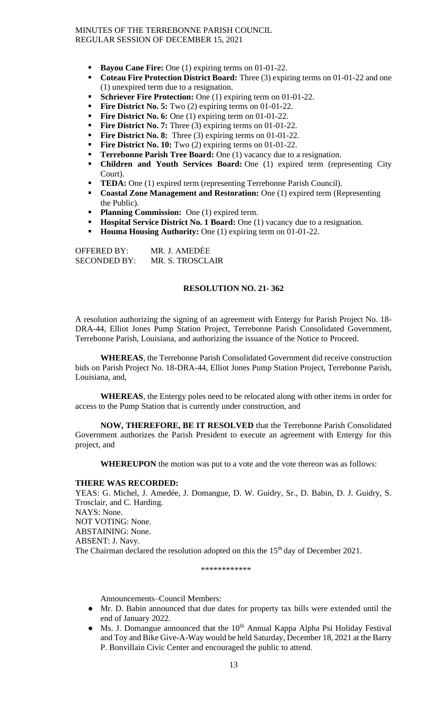- **Bayou Cane Fire:** One (1) expiring terms on 01-01-22.
- **Coteau Fire Protection District Board:** Three (3) expiring terms on 01-01-22 and one (1) unexpired term due to a resignation.
- **Schriever Fire Protection:** One (1) expiring term on 01-01-22.
- **Fire District No. 5:** Two (2) expiring terms on 01-01-22.
- **Fire District No. 6:** One (1) expiring term on 01-01-22.
- **Fire District No. 7:** Three (3) expiring terms on 01-01-22.
- **Fire District No. 8:** Three (3) expiring terms on 01-01-22.
- **Fire District No. 10:** Two (2) expiring terms on 01-01-22.
- **Terrebonne Parish Tree Board:** One (1) vacancy due to a resignation.
- **Children and Youth Services Board:** One (1) expired term (representing City Court).
- **TEDA:** One (1) expired term (representing Terrebonne Parish Council).
- **Coastal Zone Management and Restoration:** One (1) expired term (Representing the Public).
- **Planning Commission:** One (1) expired term.
- **Hospital Service District No. 1 Board:** One (1) vacancy due to a resignation.
- **Houma Housing Authority:** One (1) expiring term on 01-01-22.

OFFERED BY: MR. J. AMEDĖE SECONDED BY: MR. S. TROSCLAIR

# **RESOLUTION NO. 21- 362**

A resolution authorizing the signing of an agreement with Entergy for Parish Project No. 18- DRA-44, Elliot Jones Pump Station Project, Terrebonne Parish Consolidated Government, Terrebonne Parish, Louisiana, and authorizing the issuance of the Notice to Proceed.

**WHEREAS**, the Terrebonne Parish Consolidated Government did receive construction bids on Parish Project No. 18-DRA-44, Elliot Jones Pump Station Project, Terrebonne Parish, Louisiana, and,

**WHEREAS**, the Entergy poles need to be relocated along with other items in order for access to the Pump Station that is currently under construction, and

**NOW, THEREFORE, BE IT RESOLVED** that the Terrebonne Parish Consolidated Government authorizes the Parish President to execute an agreement with Entergy for this project, and

**WHEREUPON** the motion was put to a vote and the vote thereon was as follows:

#### **THERE WAS RECORDED:**

YEAS: G. Michel, J. Amedée, J. Domangue, D. W. Guidry, Sr., D. Babin, D. J. Guidry, S. Trosclair, and C. Harding. NAYS: None. NOT VOTING: None. ABSTAINING: None. ABSENT: J. Navy. The Chairman declared the resolution adopted on this the 15<sup>th</sup> day of December 2021.

\*\*\*\*\*\*\*\*\*\*\*\*

Announcements–Council Members:

- Mr. D. Babin announced that due dates for property tax bills were extended until the end of January 2022.
- Ms. J. Domangue announced that the  $10^{th}$  Annual Kappa Alpha Psi Holiday Festival and Toy and Bike Give-A-Way would be held Saturday, December 18, 2021 at the Barry P. Bonvillain Civic Center and encouraged the public to attend.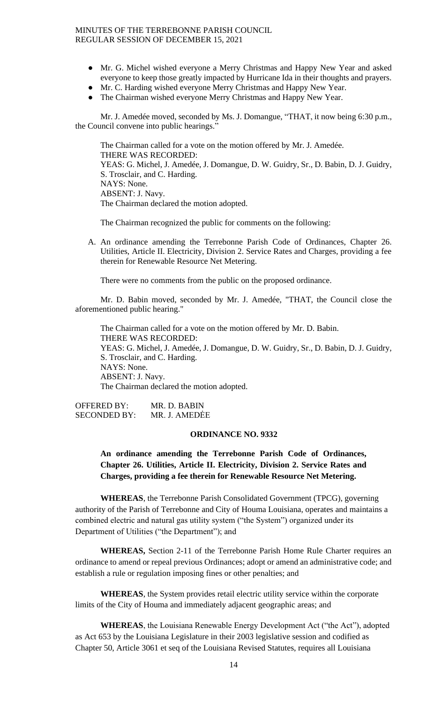- Mr. G. Michel wished everyone a Merry Christmas and Happy New Year and asked everyone to keep those greatly impacted by Hurricane Ida in their thoughts and prayers.
- Mr. C. Harding wished everyone Merry Christmas and Happy New Year.
- The Chairman wished everyone Merry Christmas and Happy New Year.

Mr. J. Amedée moved, seconded by Ms. J. Domangue, "THAT, it now being 6:30 p.m., the Council convene into public hearings."

The Chairman called for a vote on the motion offered by Mr. J. Amedée. THERE WAS RECORDED: YEAS: G. Michel, J. Amedée, J. Domangue, D. W. Guidry, Sr., D. Babin, D. J. Guidry, S. Trosclair, and C. Harding. NAYS: None. ABSENT: J. Navy. The Chairman declared the motion adopted.

The Chairman recognized the public for comments on the following:

A. An ordinance amending the Terrebonne Parish Code of Ordinances, Chapter 26. Utilities, Article II. Electricity, Division 2. Service Rates and Charges, providing a fee therein for Renewable Resource Net Metering.

There were no comments from the public on the proposed ordinance.

Mr. D. Babin moved, seconded by Mr. J. Amedée, "THAT, the Council close the aforementioned public hearing."

The Chairman called for a vote on the motion offered by Mr. D. Babin. THERE WAS RECORDED: YEAS: G. Michel, J. Amedée, J. Domangue, D. W. Guidry, Sr., D. Babin, D. J. Guidry, S. Trosclair, and C. Harding. NAYS: None. ABSENT: J. Navy. The Chairman declared the motion adopted.

OFFERED BY: MR. D. BABIN SECONDED BY: MR. J. AMEDĖE

#### **ORDINANCE NO. 9332**

**An ordinance amending the Terrebonne Parish Code of Ordinances, Chapter 26. Utilities, Article II. Electricity, Division 2. Service Rates and Charges, providing a fee therein for Renewable Resource Net Metering.**

**WHEREAS**, the Terrebonne Parish Consolidated Government (TPCG), governing authority of the Parish of Terrebonne and City of Houma Louisiana, operates and maintains a combined electric and natural gas utility system ("the System") organized under its Department of Utilities ("the Department"); and

**WHEREAS,** Section 2-11 of the Terrebonne Parish Home Rule Charter requires an ordinance to amend or repeal previous Ordinances; adopt or amend an administrative code; and establish a rule or regulation imposing fines or other penalties; and

**WHEREAS**, the System provides retail electric utility service within the corporate limits of the City of Houma and immediately adjacent geographic areas; and

**WHEREAS**, the Louisiana Renewable Energy Development Act ("the Act"), adopted as Act 653 by the Louisiana Legislature in their 2003 legislative session and codified as Chapter 50, Article 3061 et seq of the Louisiana Revised Statutes, requires all Louisiana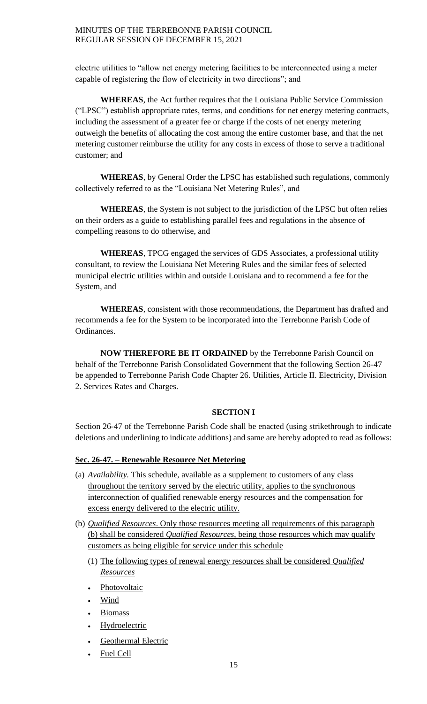electric utilities to "allow net energy metering facilities to be interconnected using a meter capable of registering the flow of electricity in two directions"; and

**WHEREAS**, the Act further requires that the Louisiana Public Service Commission ("LPSC") establish appropriate rates, terms, and conditions for net energy metering contracts, including the assessment of a greater fee or charge if the costs of net energy metering outweigh the benefits of allocating the cost among the entire customer base, and that the net metering customer reimburse the utility for any costs in excess of those to serve a traditional customer; and

**WHEREAS**, by General Order the LPSC has established such regulations, commonly collectively referred to as the "Louisiana Net Metering Rules", and

**WHEREAS**, the System is not subject to the jurisdiction of the LPSC but often relies on their orders as a guide to establishing parallel fees and regulations in the absence of compelling reasons to do otherwise, and

**WHEREAS**, TPCG engaged the services of GDS Associates, a professional utility consultant, to review the Louisiana Net Metering Rules and the similar fees of selected municipal electric utilities within and outside Louisiana and to recommend a fee for the System, and

**WHEREAS**, consistent with those recommendations, the Department has drafted and recommends a fee for the System to be incorporated into the Terrebonne Parish Code of Ordinances.

**NOW THEREFORE BE IT ORDAINED** by the Terrebonne Parish Council on behalf of the Terrebonne Parish Consolidated Government that the following Section 26-47 be appended to Terrebonne Parish Code Chapter 26. Utilities, Article II. Electricity, Division 2. Services Rates and Charges.

# **SECTION I**

Section 26-47 of the Terrebonne Parish Code shall be enacted (using strikethrough to indicate deletions and underlining to indicate additions) and same are hereby adopted to read as follows:

# **Sec. 26-47. – Renewable Resource Net Metering**

- (a) *Availability.* This schedule, available as a supplement to customers of any class throughout the territory served by the electric utility, applies to the synchronous interconnection of qualified renewable energy resources and the compensation for excess energy delivered to the electric utility.
- (b) *Qualified Resources*. Only those resources meeting all requirements of this paragraph (b) shall be considered *Qualified Resources*, being those resources which may qualify customers as being eligible for service under this schedule
	- (1) The following types of renewal energy resources shall be considered *Qualified Resources*
	- Photovoltaic
	- Wind
	- Biomass
	- **Hydroelectric**
	- Geothermal Electric
	- Fuel Cell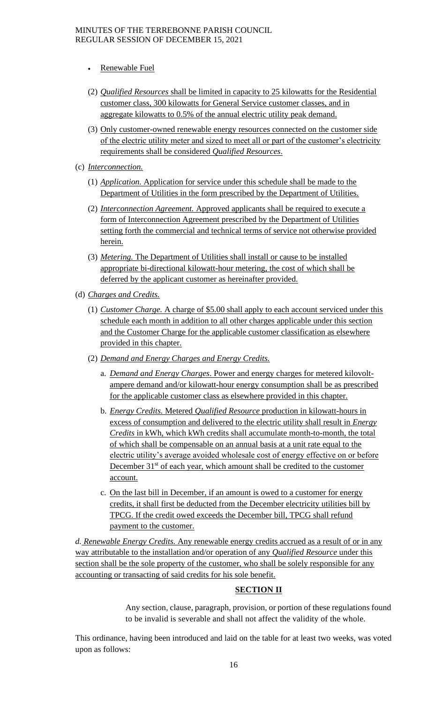- Renewable Fuel
- (2) *Qualified Resources* shall be limited in capacity to 25 kilowatts for the Residential customer class, 300 kilowatts for General Service customer classes, and in aggregate kilowatts to 0.5% of the annual electric utility peak demand.
- (3) Only customer-owned renewable energy resources connected on the customer side of the electric utility meter and sized to meet all or part of the customer's electricity requirements shall be considered *Qualified Resources*.
- (c) *Interconnection.*
	- (1) *Application.* Application for service under this schedule shall be made to the Department of Utilities in the form prescribed by the Department of Utilities.
	- (2) *Interconnection Agreement.* Approved applicants shall be required to execute a form of Interconnection Agreement prescribed by the Department of Utilities setting forth the commercial and technical terms of service not otherwise provided herein.
	- (3) *Metering.* The Department of Utilities shall install or cause to be installed appropriate bi-directional kilowatt-hour metering, the cost of which shall be deferred by the applicant customer as hereinafter provided.
- (d) *Charges and Credits.*
	- (1) *Customer Charge.* A charge of \$5.00 shall apply to each account serviced under this schedule each month in addition to all other charges applicable under this section and the Customer Charge for the applicable customer classification as elsewhere provided in this chapter.
	- (2) *Demand and Energy Charges and Energy Credits.*
		- a. *Demand and Energy Charges*. Power and energy charges for metered kilovoltampere demand and/or kilowatt-hour energy consumption shall be as prescribed for the applicable customer class as elsewhere provided in this chapter.
		- b. *Energy Credits.* Metered *Qualified Resource* production in kilowatt-hours in excess of consumption and delivered to the electric utility shall result in *Energy Credits* in kWh, which kWh credits shall accumulate month-to-month, the total of which shall be compensable on an annual basis at a unit rate equal to the electric utility's average avoided wholesale cost of energy effective on or before December 31<sup>st</sup> of each year, which amount shall be credited to the customer account.
		- c. On the last bill in December, if an amount is owed to a customer for energy credits, it shall first be deducted from the December electricity utilities bill by TPCG. If the credit owed exceeds the December bill, TPCG shall refund payment to the customer.

*d. Renewable Energy Credits.* Any renewable energy credits accrued as a result of or in any way attributable to the installation and/or operation of any *Qualified Resource* under this section shall be the sole property of the customer, who shall be solely responsible for any accounting or transacting of said credits for his sole benefit.

# **SECTION II**

Any section, clause, paragraph, provision, or portion of these regulations found to be invalid is severable and shall not affect the validity of the whole.

This ordinance, having been introduced and laid on the table for at least two weeks, was voted upon as follows: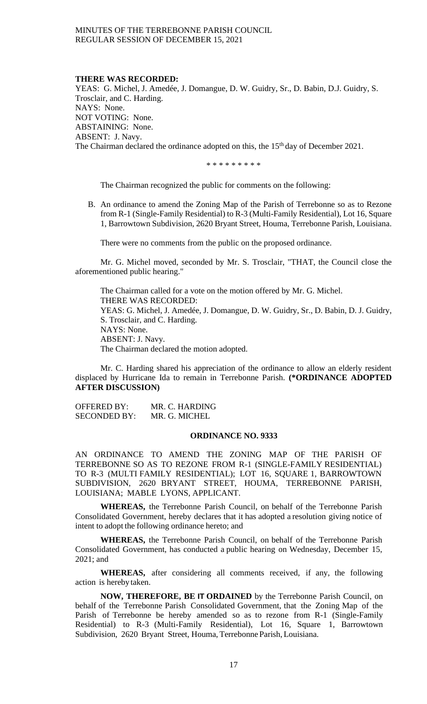#### **THERE WAS RECORDED:**

YEAS: G. Michel, J. Amedée, J. Domangue, D. W. Guidry, Sr., D. Babin, D.J. Guidry, S. Trosclair, and C. Harding. NAYS: None. NOT VOTING: None. ABSTAINING: None. ABSENT: J. Navy. The Chairman declared the ordinance adopted on this, the 15<sup>th</sup> day of December 2021.

\* \* \* \* \* \* \* \* \*

The Chairman recognized the public for comments on the following:

B. An ordinance to amend the Zoning Map of the Parish of Terrebonne so as to Rezone from R-1 (Single-Family Residential) to R-3 (Multi-Family Residential), Lot 16, Square 1, Barrowtown Subdivision, 2620 Bryant Street, Houma, Terrebonne Parish, Louisiana.

There were no comments from the public on the proposed ordinance.

Mr. G. Michel moved, seconded by Mr. S. Trosclair, "THAT, the Council close the aforementioned public hearing."

The Chairman called for a vote on the motion offered by Mr. G. Michel. THERE WAS RECORDED: YEAS: G. Michel, J. Amedée, J. Domangue, D. W. Guidry, Sr., D. Babin, D. J. Guidry, S. Trosclair, and C. Harding. NAYS: None. ABSENT: J. Navy. The Chairman declared the motion adopted.

Mr. C. Harding shared his appreciation of the ordinance to allow an elderly resident displaced by Hurricane Ida to remain in Terrebonne Parish. **(\*ORDINANCE ADOPTED AFTER DISCUSSION)**

OFFERED BY: MR. C. HARDING SECONDED BY: MR. G. MICHEL

# **ORDINANCE NO. 9333**

AN ORDINANCE TO AMEND THE ZONING MAP OF THE PARlSH OF TERREBONNE SO AS TO REZONE FROM R-1 (SINGLE-FAMILY RESIDENTIAL) TO R-3 (MULTI FAMILY RESIDENTIAL); LOT 16, SQUARE 1, BARROWTOWN SUBDIVISION, 2620 BRYANT STREET, HOUMA, TERREBONNE PARISH, LOUISIANA; MABLE LYONS, APPLICANT.

**WHEREAS,** the Terrebonne Parish Council, on behalf of the Terrebonne Parish Consolidated Government, hereby declares that it has adopted a resolution giving notice of intent to adopt the following ordinance hereto; and

**WHEREAS,** the Terrebonne Parish Council, on behalf of the Terrebonne Parish Consolidated Government, has conducted a public hearing on Wednesday, December 15, 2021; and

**WHEREAS,** after considering all comments received, if any, the following action is hereby taken.

**NOW, THEREFORE, BE IT ORDAINED** by the Terrebonne Parish Council, on behalf of the Terrebonne Parish Consolidated Government, that the Zoning Map of the Parish of Terrebonne be hereby amended so as to rezone from R-1 (Single-Family Residential) to R-3 (Multi-Family Residential), Lot 16, Square 1, Barrowtown Subdivision, 2620 Bryant Street, Houma, Terrebonne Parish,Louisiana.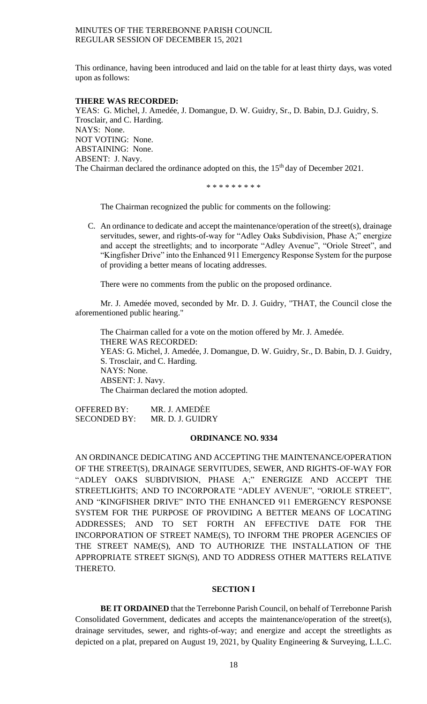This ordinance, having been introduced and laid on the table for at least thirty days, was voted upon as follows:

### **THERE WAS RECORDED:**

YEAS: G. Michel, J. Amedée, J. Domangue, D. W. Guidry, Sr., D. Babin, D.J. Guidry, S. Trosclair, and C. Harding. NAYS: None. NOT VOTING: None. ABSTAINING: None. ABSENT: J. Navy. The Chairman declared the ordinance adopted on this, the 15<sup>th</sup> day of December 2021.

\* \* \* \* \* \* \* \* \*

The Chairman recognized the public for comments on the following:

C. An ordinance to dedicate and accept the maintenance/operation of the street(s), drainage servitudes, sewer, and rights-of-way for "Adley Oaks Subdivision, Phase A;" energize and accept the streetlights; and to incorporate "Adley Avenue", "Oriole Street", and "Kingfisher Drive" into the Enhanced 911 Emergency Response System for the purpose of providing a better means of locating addresses.

There were no comments from the public on the proposed ordinance.

Mr. J. Amedée moved, seconded by Mr. D. J. Guidry, "THAT, the Council close the aforementioned public hearing."

The Chairman called for a vote on the motion offered by Mr. J. Amedée. THERE WAS RECORDED: YEAS: G. Michel, J. Amedée, J. Domangue, D. W. Guidry, Sr., D. Babin, D. J. Guidry, S. Trosclair, and C. Harding. NAYS: None. ABSENT: J. Navy. The Chairman declared the motion adopted.

OFFERED BY: MR. J. AMEDĖE SECONDED BY: MR. D. J. GUIDRY

### **ORDINANCE NO. 9334**

AN ORDINANCE DEDICATING AND ACCEPTING THE MAINTENANCE/OPERATION OF THE STREET(S), DRAINAGE SERVITUDES, SEWER, AND RIGHTS-OF-WAY FOR "ADLEY OAKS SUBDIVISION, PHASE A;" ENERGIZE AND ACCEPT THE STREETLIGHTS; AND TO INCORPORATE "ADLEY AVENUE", "ORIOLE STREET", AND "KINGFISHER DRIVE" INTO THE ENHANCED 911 EMERGENCY RESPONSE SYSTEM FOR THE PURPOSE OF PROVIDING A BETTER MEANS OF LOCATING ADDRESSES; AND TO SET FORTH AN EFFECTIVE DATE FOR THE INCORPORATION OF STREET NAME(S), TO INFORM THE PROPER AGENCIES OF THE STREET NAME(S), AND TO AUTHORIZE THE INSTALLATION OF THE APPROPRIATE STREET SIGN(S), AND TO ADDRESS OTHER MATTERS RELATIVE THERETO.

### **SECTION I**

**BE IT ORDAINED** that the Terrebonne Parish Council, on behalf of Terrebonne Parish Consolidated Government, dedicates and accepts the maintenance/operation of the street(s), drainage servitudes, sewer, and rights-of-way; and energize and accept the streetlights as depicted on a plat, prepared on August 19, 2021, by Quality Engineering & Surveying, L.L.C.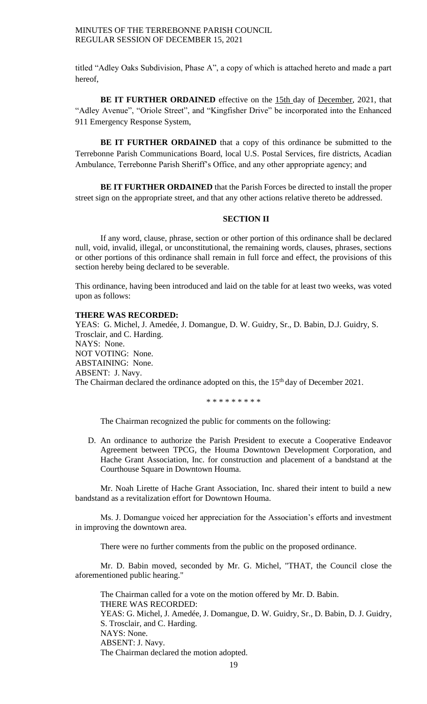titled "Adley Oaks Subdivision, Phase A", a copy of which is attached hereto and made a part hereof,

**BE IT FURTHER ORDAINED** effective on the 15th day of December, 2021, that "Adley Avenue", "Oriole Street", and "Kingfisher Drive" be incorporated into the Enhanced 911 Emergency Response System,

**BE IT FURTHER ORDAINED** that a copy of this ordinance be submitted to the Terrebonne Parish Communications Board, local U.S. Postal Services, fire districts, Acadian Ambulance, Terrebonne Parish Sheriff's Office, and any other appropriate agency; and

**BE IT FURTHER ORDAINED** that the Parish Forces be directed to install the proper street sign on the appropriate street, and that any other actions relative thereto be addressed.

#### **SECTION II**

If any word, clause, phrase, section or other portion of this ordinance shall be declared null, void, invalid, illegal, or unconstitutional, the remaining words, clauses, phrases, sections or other portions of this ordinance shall remain in full force and effect, the provisions of this section hereby being declared to be severable.

This ordinance, having been introduced and laid on the table for at least two weeks, was voted upon as follows:

#### **THERE WAS RECORDED:**

YEAS: G. Michel, J. Amedée, J. Domangue, D. W. Guidry, Sr., D. Babin, D.J. Guidry, S. Trosclair, and C. Harding. NAYS: None. NOT VOTING: None. ABSTAINING: None. ABSENT: J. Navy. The Chairman declared the ordinance adopted on this, the 15<sup>th</sup> day of December 2021.

\* \* \* \* \* \* \* \* \*

The Chairman recognized the public for comments on the following:

D. An ordinance to authorize the Parish President to execute a Cooperative Endeavor Agreement between TPCG, the Houma Downtown Development Corporation, and Hache Grant Association, Inc. for construction and placement of a bandstand at the Courthouse Square in Downtown Houma.

Mr. Noah Lirette of Hache Grant Association, Inc. shared their intent to build a new bandstand as a revitalization effort for Downtown Houma.

Ms. J. Domangue voiced her appreciation for the Association's efforts and investment in improving the downtown area.

There were no further comments from the public on the proposed ordinance.

Mr. D. Babin moved, seconded by Mr. G. Michel, "THAT, the Council close the aforementioned public hearing."

The Chairman called for a vote on the motion offered by Mr. D. Babin. THERE WAS RECORDED: YEAS: G. Michel, J. Amedée, J. Domangue, D. W. Guidry, Sr., D. Babin, D. J. Guidry, S. Trosclair, and C. Harding. NAYS: None. ABSENT: J. Navy. The Chairman declared the motion adopted.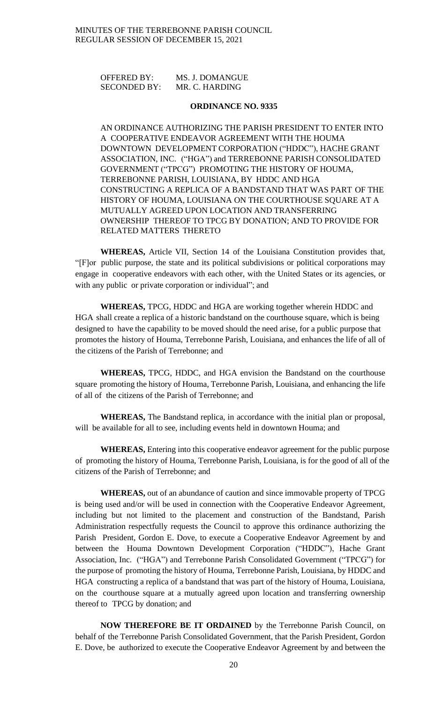| <b>OFFERED BY:</b>  | MS. J. DOMANGUE |
|---------------------|-----------------|
| <b>SECONDED BY:</b> | MR. C. HARDING  |

# **ORDINANCE NO. 9335**

AN ORDINANCE AUTHORIZING THE PARISH PRESIDENT TO ENTER INTO A COOPERATIVE ENDEAVOR AGREEMENT WITH THE HOUMA DOWNTOWN DEVELOPMENT CORPORATION ("HDDC"), HACHE GRANT ASSOCIATION, INC. ("HGA") and TERREBONNE PARISH CONSOLIDATED GOVERNMENT ("TPCG") PROMOTING THE HISTORY OF HOUMA, TERREBONNE PARISH, LOUISIANA, BY HDDC AND HGA CONSTRUCTING A REPLICA OF A BANDSTAND THAT WAS PART OF THE HISTORY OF HOUMA, LOUISIANA ON THE COURTHOUSE SQUARE AT A MUTUALLY AGREED UPON LOCATION AND TRANSFERRING OWNERSHIP THEREOF TO TPCG BY DONATION; AND TO PROVIDE FOR RELATED MATTERS THERETO

**WHEREAS,** Article VII, Section 14 of the Louisiana Constitution provides that, "[F]or public purpose, the state and its political subdivisions or political corporations may engage in cooperative endeavors with each other, with the United States or its agencies, or with any public or private corporation or individual"; and

**WHEREAS,** TPCG, HDDC and HGA are working together wherein HDDC and HGA shall create a replica of a historic bandstand on the courthouse square, which is being designed to have the capability to be moved should the need arise, for a public purpose that promotes the history of Houma, Terrebonne Parish, Louisiana, and enhances the life of all of the citizens of the Parish of Terrebonne; and

**WHEREAS,** TPCG, HDDC, and HGA envision the Bandstand on the courthouse square promoting the history of Houma, Terrebonne Parish, Louisiana, and enhancing the life of all of the citizens of the Parish of Terrebonne; and

**WHEREAS,** The Bandstand replica, in accordance with the initial plan or proposal, will be available for all to see, including events held in downtown Houma; and

**WHEREAS,** Entering into this cooperative endeavor agreement for the public purpose of promoting the history of Houma, Terrebonne Parish, Louisiana, is for the good of all of the citizens of the Parish of Terrebonne; and

**WHEREAS,** out of an abundance of caution and since immovable property of TPCG is being used and/or will be used in connection with the Cooperative Endeavor Agreement, including but not limited to the placement and construction of the Bandstand, Parish Administration respectfully requests the Council to approve this ordinance authorizing the Parish President, Gordon E. Dove, to execute a Cooperative Endeavor Agreement by and between the Houma Downtown Development Corporation ("HDDC"), Hache Grant Association, Inc. ("HGA") and Terrebonne Parish Consolidated Government ("TPCG") for the purpose of promoting the history of Houma, Terrebonne Parish, Louisiana, by HDDC and HGA constructing a replica of a bandstand that was part of the history of Houma, Louisiana, on the courthouse square at a mutually agreed upon location and transferring ownership thereof to TPCG by donation; and

**NOW THEREFORE BE IT ORDAINED** by the Terrebonne Parish Council, on behalf of the Terrebonne Parish Consolidated Government, that the Parish President, Gordon E. Dove, be authorized to execute the Cooperative Endeavor Agreement by and between the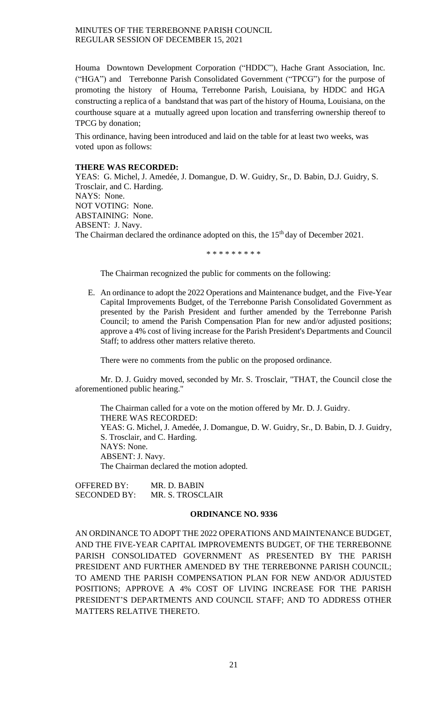Houma Downtown Development Corporation ("HDDC"), Hache Grant Association, Inc. ("HGA") and Terrebonne Parish Consolidated Government ("TPCG") for the purpose of promoting the history of Houma, Terrebonne Parish, Louisiana, by HDDC and HGA constructing a replica of a bandstand that was part of the history of Houma, Louisiana, on the courthouse square at a mutually agreed upon location and transferring ownership thereof to TPCG by donation;

This ordinance, having been introduced and laid on the table for at least two weeks, was voted upon as follows:

# **THERE WAS RECORDED:**

YEAS: G. Michel, J. Amedée, J. Domangue, D. W. Guidry, Sr., D. Babin, D.J. Guidry, S. Trosclair, and C. Harding. NAYS: None. NOT VOTING: None. ABSTAINING: None. ABSENT: J. Navy. The Chairman declared the ordinance adopted on this, the 15<sup>th</sup> day of December 2021.

\* \* \* \* \* \* \* \* \*

The Chairman recognized the public for comments on the following:

E. An ordinance to adopt the 2022 Operations and Maintenance budget, and the Five-Year Capital Improvements Budget, of the Terrebonne Parish Consolidated Government as presented by the Parish President and further amended by the Terrebonne Parish Council; to amend the Parish Compensation Plan for new and/or adjusted positions; approve a 4% cost of living increase for the Parish President's Departments and Council Staff; to address other matters relative thereto.

There were no comments from the public on the proposed ordinance.

Mr. D. J. Guidry moved, seconded by Mr. S. Trosclair, "THAT, the Council close the aforementioned public hearing."

The Chairman called for a vote on the motion offered by Mr. D. J. Guidry. THERE WAS RECORDED: YEAS: G. Michel, J. Amedée, J. Domangue, D. W. Guidry, Sr., D. Babin, D. J. Guidry, S. Trosclair, and C. Harding. NAYS: None. ABSENT: J. Navy. The Chairman declared the motion adopted.

OFFERED BY: MR. D. BABIN SECONDED BY: MR. S. TROSCLAIR

### **ORDINANCE NO. 9336**

AN ORDINANCE TO ADOPT THE 2022 OPERATIONS AND MAINTENANCE BUDGET, AND THE FIVE-YEAR CAPITAL IMPROVEMENTS BUDGET, OF THE TERREBONNE PARISH CONSOLIDATED GOVERNMENT AS PRESENTED BY THE PARISH PRESIDENT AND FURTHER AMENDED BY THE TERREBONNE PARISH COUNCIL; TO AMEND THE PARISH COMPENSATION PLAN FOR NEW AND/OR ADJUSTED POSITIONS; APPROVE A 4% COST OF LIVING INCREASE FOR THE PARISH PRESIDENT'S DEPARTMENTS AND COUNCIL STAFF; AND TO ADDRESS OTHER MATTERS RELATIVE THERETO.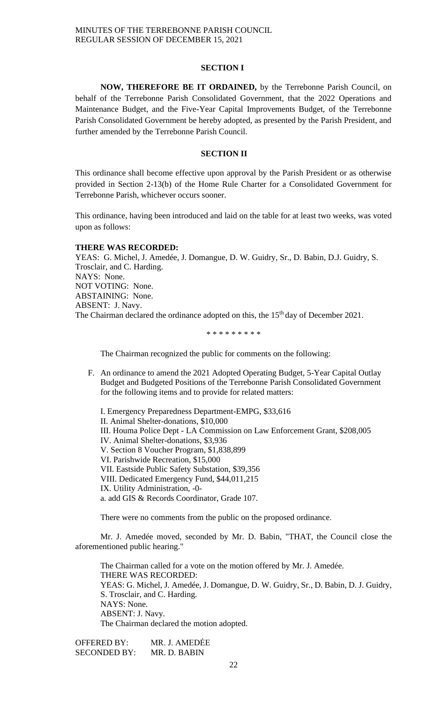#### **SECTION I**

**NOW, THEREFORE BE IT ORDAINED,** by the Terrebonne Parish Council, on behalf of the Terrebonne Parish Consolidated Government, that the 2022 Operations and Maintenance Budget, and the Five-Year Capital Improvements Budget, of the Terrebonne Parish Consolidated Government be hereby adopted, as presented by the Parish President, and further amended by the Terrebonne Parish Council.

# **SECTION II**

This ordinance shall become effective upon approval by the Parish President or as otherwise provided in Section 2-13(b) of the Home Rule Charter for a Consolidated Government for Terrebonne Parish, whichever occurs sooner.

This ordinance, having been introduced and laid on the table for at least two weeks, was voted upon as follows:

### **THERE WAS RECORDED:**

YEAS: G. Michel, J. Amedée, J. Domangue, D. W. Guidry, Sr., D. Babin, D.J. Guidry, S. Trosclair, and C. Harding. NAYS: None. NOT VOTING: None. ABSTAINING: None. ABSENT: J. Navy. The Chairman declared the ordinance adopted on this, the 15<sup>th</sup> day of December 2021.

\* \* \* \* \* \* \* \* \*

The Chairman recognized the public for comments on the following:

F. An ordinance to amend the 2021 Adopted Operating Budget, 5-Year Capital Outlay Budget and Budgeted Positions of the Terrebonne Parish Consolidated Government for the following items and to provide for related matters:

I. Emergency Preparedness Department-EMPG, \$33,616 II. Animal Shelter-donations, \$10,000 III. Houma Police Dept - LA Commission on Law Enforcement Grant, \$208,005 IV. Animal Shelter-donations, \$3,936 V. Section 8 Voucher Program, \$1,838,899 VI. Parishwide Recreation, \$15,000 VII. Eastside Public Safety Substation, \$39,356 VIII. Dedicated Emergency Fund, \$44,011,215 IX. Utility Administration, -0 a. add GIS & Records Coordinator, Grade 107.

There were no comments from the public on the proposed ordinance.

Mr. J. Amedée moved, seconded by Mr. D. Babin, "THAT, the Council close the aforementioned public hearing."

The Chairman called for a vote on the motion offered by Mr. J. Amedée. THERE WAS RECORDED: YEAS: G. Michel, J. Amedée, J. Domangue, D. W. Guidry, Sr., D. Babin, D. J. Guidry, S. Trosclair, and C. Harding. NAYS: None. ABSENT: J. Navy. The Chairman declared the motion adopted.

OFFERED BY: MR. J. AMEDĖE SECONDED BY: MR. D. BABIN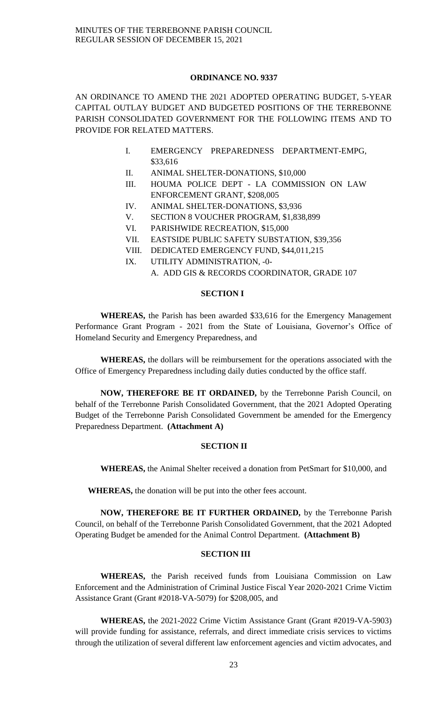## **ORDINANCE NO. 9337**

AN ORDINANCE TO AMEND THE 2021 ADOPTED OPERATING BUDGET, 5-YEAR CAPITAL OUTLAY BUDGET AND BUDGETED POSITIONS OF THE TERREBONNE PARISH CONSOLIDATED GOVERNMENT FOR THE FOLLOWING ITEMS AND TO PROVIDE FOR RELATED MATTERS.

- I. EMERGENCY PREPAREDNESS DEPARTMENT-EMPG, \$33,616
- II. ANIMAL SHELTER-DONATIONS, \$10,000
- III. HOUMA POLICE DEPT LA COMMISSION ON LAW ENFORCEMENT GRANT, \$208,005
- IV. ANIMAL SHELTER-DONATIONS, \$3,936
- V. SECTION 8 VOUCHER PROGRAM, \$1,838,899
- VI. PARISHWIDE RECREATION, \$15,000
- VII. EASTSIDE PUBLIC SAFETY SUBSTATION, \$39,356
- VIII. DEDICATED EMERGENCY FUND, \$44,011,215
- IX. UTILITY ADMINISTRATION, -0-
	- A. ADD GIS & RECORDS COORDINATOR, GRADE 107

# **SECTION I**

**WHEREAS,** the Parish has been awarded \$33,616 for the Emergency Management Performance Grant Program - 2021 from the State of Louisiana, Governor's Office of Homeland Security and Emergency Preparedness, and

**WHEREAS,** the dollars will be reimbursement for the operations associated with the Office of Emergency Preparedness including daily duties conducted by the office staff.

**NOW, THEREFORE BE IT ORDAINED,** by the Terrebonne Parish Council, on behalf of the Terrebonne Parish Consolidated Government, that the 2021 Adopted Operating Budget of the Terrebonne Parish Consolidated Government be amended for the Emergency Preparedness Department. **(Attachment A)**

# **SECTION II**

**WHEREAS,** the Animal Shelter received a donation from PetSmart for \$10,000, and

**WHEREAS,** the donation will be put into the other fees account.

**NOW, THEREFORE BE IT FURTHER ORDAINED,** by the Terrebonne Parish Council, on behalf of the Terrebonne Parish Consolidated Government, that the 2021 Adopted Operating Budget be amended for the Animal Control Department. **(Attachment B)**

# **SECTION III**

**WHEREAS,** the Parish received funds from Louisiana Commission on Law Enforcement and the Administration of Criminal Justice Fiscal Year 2020-2021 Crime Victim Assistance Grant (Grant #2018-VA-5079) for \$208,005, and

**WHEREAS,** the 2021-2022 Crime Victim Assistance Grant (Grant #2019-VA-5903) will provide funding for assistance, referrals, and direct immediate crisis services to victims through the utilization of several different law enforcement agencies and victim advocates, and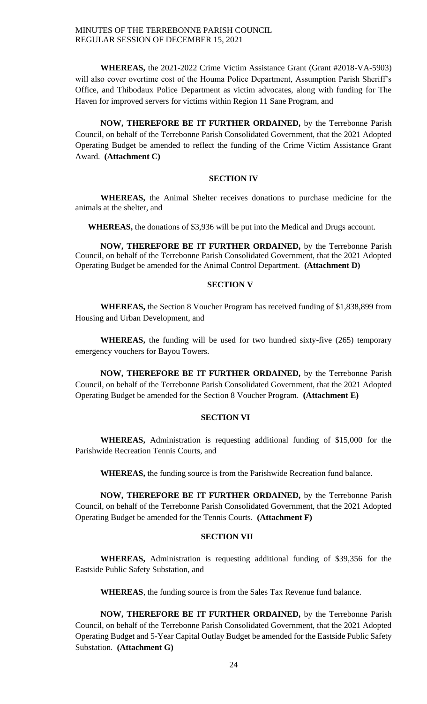**WHEREAS,** the 2021-2022 Crime Victim Assistance Grant (Grant #2018-VA-5903) will also cover overtime cost of the Houma Police Department, Assumption Parish Sheriff's Office, and Thibodaux Police Department as victim advocates, along with funding for The Haven for improved servers for victims within Region 11 Sane Program, and

**NOW, THEREFORE BE IT FURTHER ORDAINED,** by the Terrebonne Parish Council, on behalf of the Terrebonne Parish Consolidated Government, that the 2021 Adopted Operating Budget be amended to reflect the funding of the Crime Victim Assistance Grant Award. **(Attachment C)**

# **SECTION IV**

**WHEREAS,** the Animal Shelter receives donations to purchase medicine for the animals at the shelter, and

**WHEREAS,** the donations of \$3,936 will be put into the Medical and Drugs account.

**NOW, THEREFORE BE IT FURTHER ORDAINED,** by the Terrebonne Parish Council, on behalf of the Terrebonne Parish Consolidated Government, that the 2021 Adopted Operating Budget be amended for the Animal Control Department. **(Attachment D)**

## **SECTION V**

**WHEREAS,** the Section 8 Voucher Program has received funding of \$1,838,899 from Housing and Urban Development, and

**WHEREAS,** the funding will be used for two hundred sixty-five (265) temporary emergency vouchers for Bayou Towers.

**NOW, THEREFORE BE IT FURTHER ORDAINED,** by the Terrebonne Parish Council, on behalf of the Terrebonne Parish Consolidated Government, that the 2021 Adopted Operating Budget be amended for the Section 8 Voucher Program. **(Attachment E)**

# **SECTION VI**

**WHEREAS,** Administration is requesting additional funding of \$15,000 for the Parishwide Recreation Tennis Courts, and

**WHEREAS,** the funding source is from the Parishwide Recreation fund balance.

**NOW, THEREFORE BE IT FURTHER ORDAINED,** by the Terrebonne Parish Council, on behalf of the Terrebonne Parish Consolidated Government, that the 2021 Adopted Operating Budget be amended for the Tennis Courts. **(Attachment F)**

# **SECTION VII**

**WHEREAS,** Administration is requesting additional funding of \$39,356 for the Eastside Public Safety Substation, and

**WHEREAS**, the funding source is from the Sales Tax Revenue fund balance.

**NOW, THEREFORE BE IT FURTHER ORDAINED,** by the Terrebonne Parish Council, on behalf of the Terrebonne Parish Consolidated Government, that the 2021 Adopted Operating Budget and 5-Year Capital Outlay Budget be amended for the Eastside Public Safety Substation. **(Attachment G)**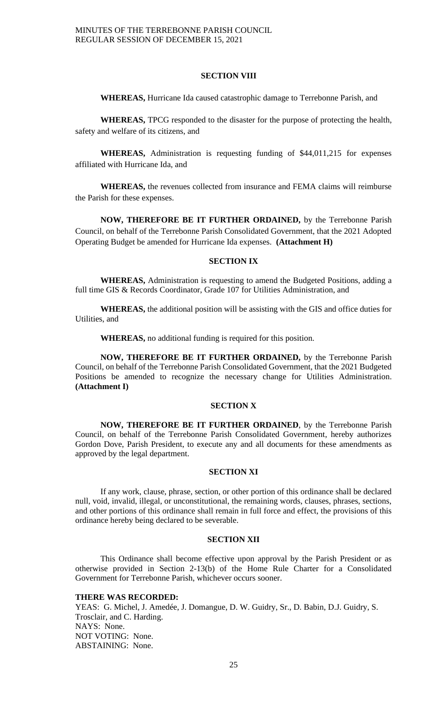# **SECTION VIII**

**WHEREAS,** Hurricane Ida caused catastrophic damage to Terrebonne Parish, and

**WHEREAS,** TPCG responded to the disaster for the purpose of protecting the health, safety and welfare of its citizens, and

**WHEREAS,** Administration is requesting funding of \$44,011,215 for expenses affiliated with Hurricane Ida, and

**WHEREAS,** the revenues collected from insurance and FEMA claims will reimburse the Parish for these expenses.

**NOW, THEREFORE BE IT FURTHER ORDAINED,** by the Terrebonne Parish Council, on behalf of the Terrebonne Parish Consolidated Government, that the 2021 Adopted Operating Budget be amended for Hurricane Ida expenses. **(Attachment H)**

# **SECTION IX**

**WHEREAS,** Administration is requesting to amend the Budgeted Positions, adding a full time GIS & Records Coordinator, Grade 107 for Utilities Administration, and

**WHEREAS,** the additional position will be assisting with the GIS and office duties for Utilities, and

**WHEREAS,** no additional funding is required for this position.

**NOW, THEREFORE BE IT FURTHER ORDAINED,** by the Terrebonne Parish Council, on behalf of the Terrebonne Parish Consolidated Government, that the 2021 Budgeted Positions be amended to recognize the necessary change for Utilities Administration. **(Attachment I)**

## **SECTION X**

**NOW, THEREFORE BE IT FURTHER ORDAINED**, by the Terrebonne Parish Council, on behalf of the Terrebonne Parish Consolidated Government, hereby authorizes Gordon Dove, Parish President, to execute any and all documents for these amendments as approved by the legal department.

## **SECTION XI**

If any work, clause, phrase, section, or other portion of this ordinance shall be declared null, void, invalid, illegal, or unconstitutional, the remaining words, clauses, phrases, sections, and other portions of this ordinance shall remain in full force and effect, the provisions of this ordinance hereby being declared to be severable.

#### **SECTION XII**

This Ordinance shall become effective upon approval by the Parish President or as otherwise provided in Section 2-13(b) of the Home Rule Charter for a Consolidated Government for Terrebonne Parish, whichever occurs sooner.

## **THERE WAS RECORDED:**

YEAS: G. Michel, J. Amedée, J. Domangue, D. W. Guidry, Sr., D. Babin, D.J. Guidry, S. Trosclair, and C. Harding. NAYS: None. NOT VOTING: None. ABSTAINING: None.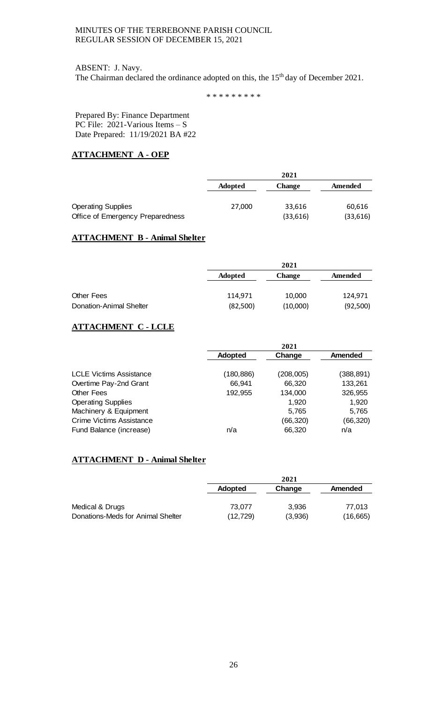## ABSENT: J. Navy.

The Chairman declared the ordinance adopted on this, the 15<sup>th</sup> day of December 2021.

\* \* \* \* \* \* \* \* \*

Prepared By: Finance Department PC File: 2021-Various Items – S Date Prepared: 11/19/2021 BA #22

# **ATTACHMENT A - OEP**

|                                  | 2021           |               |          |  |  |
|----------------------------------|----------------|---------------|----------|--|--|
|                                  | <b>Adopted</b> | <b>Change</b> | Amended  |  |  |
| <b>Operating Supplies</b>        | 27,000         | 33.616        | 60,616   |  |  |
| Office of Emergency Preparedness |                | (33,616)      | (33,616) |  |  |

# **ATTACHMENT B - Animal Shelter**

|                         | 2021           |          |          |  |
|-------------------------|----------------|----------|----------|--|
|                         | <b>Adopted</b> | Change   | Amended  |  |
|                         |                |          |          |  |
| <b>Other Fees</b>       | 114,971        | 10,000   | 124,971  |  |
| Donation-Animal Shelter | (82,500)       | (10,000) | (92,500) |  |

# **ATTACHMENT C - LCLE**

|                                 |                | 2021       |                |
|---------------------------------|----------------|------------|----------------|
|                                 | <b>Adopted</b> | Change     | <b>Amended</b> |
|                                 |                |            |                |
| <b>LCLE Victims Assistance</b>  | (180, 886)     | (208, 005) | (388, 891)     |
| Overtime Pay-2nd Grant          | 66,941         | 66,320     | 133,261        |
| <b>Other Fees</b>               | 192,955        | 134,000    | 326,955        |
| <b>Operating Supplies</b>       |                | 1,920      | 1.920          |
| Machinery & Equipment           |                | 5,765      | 5,765          |
| <b>Crime Victims Assistance</b> |                | (66,320)   | (66,320)       |
| Fund Balance (increase)         | n/a            | 66,320     | n/a            |

# **ATTACHMENT D - Animal Shelter**

|                                   |                | 2021    |           |
|-----------------------------------|----------------|---------|-----------|
|                                   | <b>Adopted</b> | Change  | Amended   |
|                                   |                |         |           |
| Medical & Drugs                   | 73.077         | 3.936   | 77.013    |
| Donations-Meds for Animal Shelter | (12,729)       | (3,936) | (16, 665) |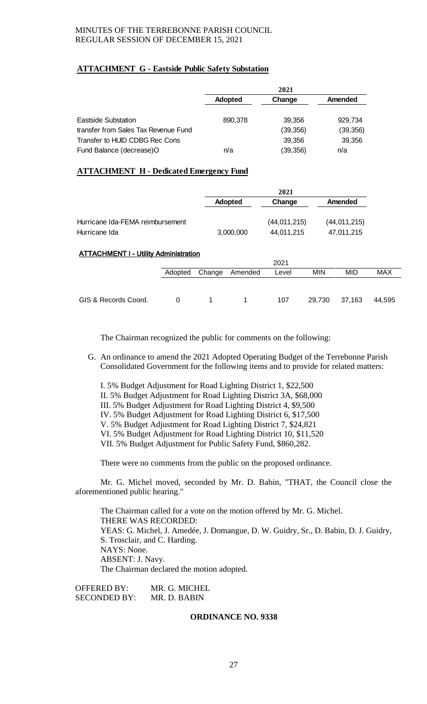# **ATTACHMENT G - Eastside Public Safety Substation**

|                                      |                | 2021      |           |
|--------------------------------------|----------------|-----------|-----------|
|                                      | <b>Adopted</b> | Change    | Amended   |
| Eastside Substation                  | 890.378        | 39,356    | 929.734   |
| transfer from Sales Tax Revenue Fund |                | (39, 356) | (39, 356) |
| Transfer to HUID CDBG Rec Cons       |                | 39,356    | 39,356    |
| Fund Balance (decrease)O             | n/a            | (39, 356) | n/a       |

# **ATTACHMENT H - Dedicated Emergency Fund**

|                                              |         |        |           | 2021         |            |                |            |
|----------------------------------------------|---------|--------|-----------|--------------|------------|----------------|------------|
|                                              |         |        | Adopted   | Change       |            | Amended        |            |
| Hurricane Ida-FEMA reimbursement             |         |        |           | (44,011,215) |            | (44, 011, 215) |            |
| Hurricane Ida                                |         |        | 3,000,000 | 44,011,215   |            | 47,011,215     |            |
| <b>ATTACHMENT I - Utility Administration</b> |         |        |           |              |            |                |            |
|                                              |         |        |           | 2021         |            |                |            |
|                                              | Adopted | Change | Amended   | Level        | <b>MIN</b> | <b>MID</b>     | <b>MAX</b> |
|                                              |         |        |           |              |            |                |            |
| GIS & Records Coord.                         | 0       | 1      | 1         | 107          | 29,730     | 37,163         | 44,595     |

The Chairman recognized the public for comments on the following:

- G. An ordinance to amend the 2021 Adopted Operating Budget of the Terrebonne Parish Consolidated Government for the following items and to provide for related matters:
	- I. 5% Budget Adjustment for Road Lighting District 1, \$22,500 II. 5% Budget Adjustment for Road Lighting District 3A, \$68,000 III. 5% Budget Adjustment for Road Lighting District 4, \$9,500 IV. 5% Budget Adjustment for Road Lighting District 6, \$17,500 V. 5% Budget Adjustment for Road Lighting District 7, \$24,821 VI. 5% Budget Adjustment for Road Lighting District 10, \$11,520 VII. 5% Budget Adjustment for Public Safety Fund, \$860,282.

There were no comments from the public on the proposed ordinance.

Mr. G. Michel moved, seconded by Mr. D. Babin, "THAT, the Council close the aforementioned public hearing."

The Chairman called for a vote on the motion offered by Mr. G. Michel. THERE WAS RECORDED: YEAS: G. Michel, J. Amedée, J. Domangue, D. W. Guidry, Sr., D. Babin, D. J. Guidry, S. Trosclair, and C. Harding. NAYS: None. ABSENT: J. Navy. The Chairman declared the motion adopted.

OFFERED BY: MR. G. MICHEL SECONDED BY: MR. D. BABIN

## **ORDINANCE NO. 9338**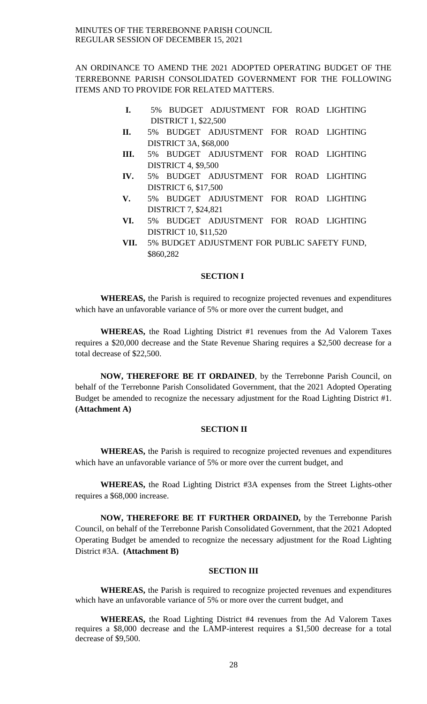AN ORDINANCE TO AMEND THE 2021 ADOPTED OPERATING BUDGET OF THE TERREBONNE PARISH CONSOLIDATED GOVERNMENT FOR THE FOLLOWING ITEMS AND TO PROVIDE FOR RELATED MATTERS.

- **I.** 5% BUDGET ADJUSTMENT FOR ROAD LIGHTING DISTRICT 1, \$22,500
- **II.** 5% BUDGET ADJUSTMENT FOR ROAD LIGHTING DISTRICT 3A, \$68,000
- **III.** 5% BUDGET ADJUSTMENT FOR ROAD LIGHTING DISTRICT 4, \$9,500
- **IV.** 5% BUDGET ADJUSTMENT FOR ROAD LIGHTING DISTRICT 6, \$17,500
- **V.** 5% BUDGET ADJUSTMENT FOR ROAD LIGHTING DISTRICT 7, \$24,821
- **VI.** 5% BUDGET ADJUSTMENT FOR ROAD LIGHTING DISTRICT 10, \$11,520
- **VII.** 5% BUDGET ADJUSTMENT FOR PUBLIC SAFETY FUND, \$860,282

# **SECTION I**

**WHEREAS,** the Parish is required to recognize projected revenues and expenditures which have an unfavorable variance of 5% or more over the current budget, and

**WHEREAS,** the Road Lighting District #1 revenues from the Ad Valorem Taxes requires a \$20,000 decrease and the State Revenue Sharing requires a \$2,500 decrease for a total decrease of \$22,500.

**NOW, THEREFORE BE IT ORDAINED**, by the Terrebonne Parish Council, on behalf of the Terrebonne Parish Consolidated Government, that the 2021 Adopted Operating Budget be amended to recognize the necessary adjustment for the Road Lighting District #1. **(Attachment A)**

# **SECTION II**

**WHEREAS,** the Parish is required to recognize projected revenues and expenditures which have an unfavorable variance of 5% or more over the current budget, and

**WHEREAS,** the Road Lighting District #3A expenses from the Street Lights-other requires a \$68,000 increase.

**NOW, THEREFORE BE IT FURTHER ORDAINED,** by the Terrebonne Parish Council, on behalf of the Terrebonne Parish Consolidated Government, that the 2021 Adopted Operating Budget be amended to recognize the necessary adjustment for the Road Lighting District #3A. **(Attachment B)**

# **SECTION III**

**WHEREAS,** the Parish is required to recognize projected revenues and expenditures which have an unfavorable variance of 5% or more over the current budget, and

**WHEREAS,** the Road Lighting District #4 revenues from the Ad Valorem Taxes requires a \$8,000 decrease and the LAMP-interest requires a \$1,500 decrease for a total decrease of \$9,500.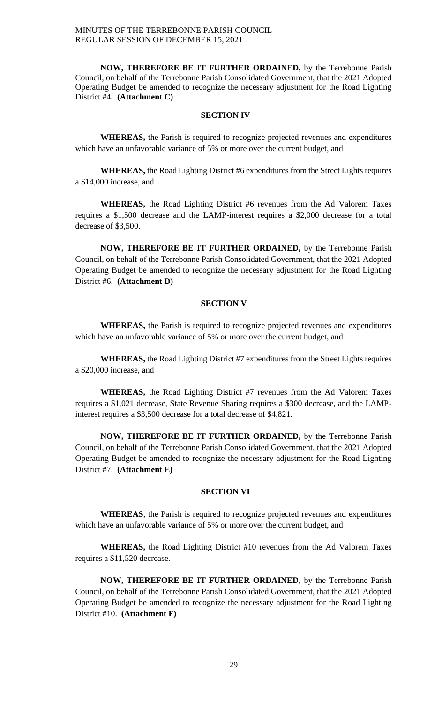**NOW, THEREFORE BE IT FURTHER ORDAINED,** by the Terrebonne Parish Council, on behalf of the Terrebonne Parish Consolidated Government, that the 2021 Adopted Operating Budget be amended to recognize the necessary adjustment for the Road Lighting District #4**. (Attachment C)**

# **SECTION IV**

**WHEREAS,** the Parish is required to recognize projected revenues and expenditures which have an unfavorable variance of 5% or more over the current budget, and

**WHEREAS,** the Road Lighting District #6 expenditures from the Street Lights requires a \$14,000 increase, and

**WHEREAS,** the Road Lighting District #6 revenues from the Ad Valorem Taxes requires a \$1,500 decrease and the LAMP-interest requires a \$2,000 decrease for a total decrease of \$3,500.

**NOW, THEREFORE BE IT FURTHER ORDAINED,** by the Terrebonne Parish Council, on behalf of the Terrebonne Parish Consolidated Government, that the 2021 Adopted Operating Budget be amended to recognize the necessary adjustment for the Road Lighting District #6. **(Attachment D)**

# **SECTION V**

**WHEREAS,** the Parish is required to recognize projected revenues and expenditures which have an unfavorable variance of 5% or more over the current budget, and

**WHEREAS,** the Road Lighting District #7 expenditures from the Street Lights requires a \$20,000 increase, and

**WHEREAS,** the Road Lighting District #7 revenues from the Ad Valorem Taxes requires a \$1,021 decrease, State Revenue Sharing requires a \$300 decrease, and the LAMPinterest requires a \$3,500 decrease for a total decrease of \$4,821.

**NOW, THEREFORE BE IT FURTHER ORDAINED,** by the Terrebonne Parish Council, on behalf of the Terrebonne Parish Consolidated Government, that the 2021 Adopted Operating Budget be amended to recognize the necessary adjustment for the Road Lighting District #7. **(Attachment E)**

# **SECTION VI**

**WHEREAS**, the Parish is required to recognize projected revenues and expenditures which have an unfavorable variance of 5% or more over the current budget, and

**WHEREAS,** the Road Lighting District #10 revenues from the Ad Valorem Taxes requires a \$11,520 decrease.

**NOW, THEREFORE BE IT FURTHER ORDAINED**, by the Terrebonne Parish Council, on behalf of the Terrebonne Parish Consolidated Government, that the 2021 Adopted Operating Budget be amended to recognize the necessary adjustment for the Road Lighting District #10. **(Attachment F)**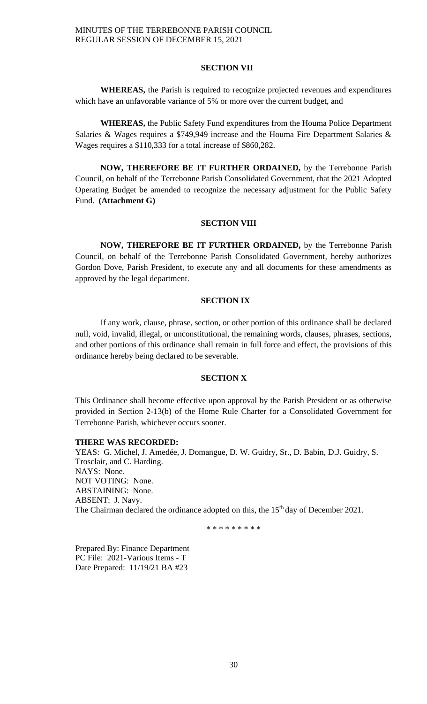#### **SECTION VII**

**WHEREAS,** the Parish is required to recognize projected revenues and expenditures which have an unfavorable variance of 5% or more over the current budget, and

**WHEREAS,** the Public Safety Fund expenditures from the Houma Police Department Salaries & Wages requires a \$749,949 increase and the Houma Fire Department Salaries & Wages requires a \$110,333 for a total increase of \$860,282.

**NOW, THEREFORE BE IT FURTHER ORDAINED,** by the Terrebonne Parish Council, on behalf of the Terrebonne Parish Consolidated Government, that the 2021 Adopted Operating Budget be amended to recognize the necessary adjustment for the Public Safety Fund. **(Attachment G)**

## **SECTION VIII**

**NOW, THEREFORE BE IT FURTHER ORDAINED,** by the Terrebonne Parish Council, on behalf of the Terrebonne Parish Consolidated Government, hereby authorizes Gordon Dove, Parish President, to execute any and all documents for these amendments as approved by the legal department.

## **SECTION IX**

If any work, clause, phrase, section, or other portion of this ordinance shall be declared null, void, invalid, illegal, or unconstitutional, the remaining words, clauses, phrases, sections, and other portions of this ordinance shall remain in full force and effect, the provisions of this ordinance hereby being declared to be severable.

# **SECTION X**

This Ordinance shall become effective upon approval by the Parish President or as otherwise provided in Section 2-13(b) of the Home Rule Charter for a Consolidated Government for Terrebonne Parish, whichever occurs sooner.

# **THERE WAS RECORDED:**

YEAS: G. Michel, J. Amedée, J. Domangue, D. W. Guidry, Sr., D. Babin, D.J. Guidry, S. Trosclair, and C. Harding. NAYS: None. NOT VOTING: None. ABSTAINING: None. ABSENT: J. Navy. The Chairman declared the ordinance adopted on this, the 15<sup>th</sup> day of December 2021.

\* \* \* \* \* \* \* \* \*

Prepared By: Finance Department PC File: 2021-Various Items - T Date Prepared: 11/19/21 BA #23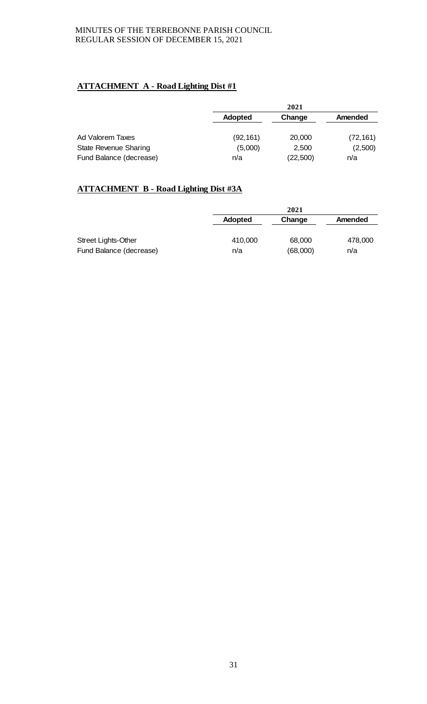# **ATTACHMENT A - Road Lighting Dist #1**

|                              |                | 2021      |                |
|------------------------------|----------------|-----------|----------------|
|                              | <b>Adopted</b> | Change    | <b>Amended</b> |
| Ad Valorem Taxes             | (92, 161)      | 20,000    | (72, 161)      |
| <b>State Revenue Sharing</b> | (5,000)        | 2,500     | (2,500)        |
| Fund Balance (decrease)      | n/a            | (22, 500) | n/a            |

# **ATTACHMENT B - Road Lighting Dist #3A**

|                            | 2021    |          |                |
|----------------------------|---------|----------|----------------|
|                            | Adopted | Change   | <b>Amended</b> |
|                            |         |          |                |
| <b>Street Lights-Other</b> | 410,000 | 68,000   | 478,000        |
| Fund Balance (decrease)    | n/a     | (68,000) | n/a            |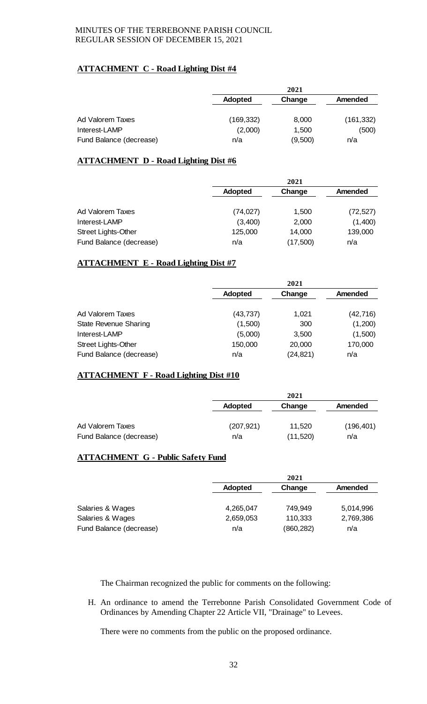# **ATTACHMENT C - Road Lighting Dist #4**

|                         | 2021           |         |            |
|-------------------------|----------------|---------|------------|
|                         | <b>Adopted</b> | Change  | Amended    |
| Ad Valorem Taxes        | (169,332)      | 8,000   | (161, 332) |
| Interest-LAMP           | (2,000)        | 1,500   | (500)      |
| Fund Balance (decrease) | n/a            | (9,500) | n/a        |

# **ATTACHMENT D - Road Lighting Dist #6**

|                            | 2021           |          |           |
|----------------------------|----------------|----------|-----------|
|                            | <b>Adopted</b> | Change   | Amended   |
| Ad Valorem Taxes           | (74, 027)      | 1,500    | (72, 527) |
| Interest-LAMP              | (3,400)        | 2,000    | (1,400)   |
| <b>Street Lights-Other</b> | 125,000        | 14,000   | 139,000   |
| Fund Balance (decrease)    | n/a            | (17,500) | n/a       |

# **ATTACHMENT E - Road Lighting Dist #7**

|                                                       | 2021           |                     |                |
|-------------------------------------------------------|----------------|---------------------|----------------|
|                                                       | <b>Adopted</b> | Change              | <b>Amended</b> |
| Ad Valorem Taxes                                      | (43, 737)      | 1,021               | (42, 716)      |
| <b>State Revenue Sharing</b>                          | (1,500)        | 300                 | (1,200)        |
| Interest-LAMP                                         | (5,000)        | 3,500               | (1,500)        |
| <b>Street Lights-Other</b><br>Fund Balance (decrease) | 150,000<br>n/a | 20,000<br>(24, 821) | 170,000<br>n/a |

# **ATTACHMENT F - Road Lighting Dist #10**

|                         |                | 2021      |            |  |
|-------------------------|----------------|-----------|------------|--|
|                         | <b>Adopted</b> | Change    | Amended    |  |
|                         |                |           |            |  |
| Ad Valorem Taxes        | (207, 921)     | 11,520    | (196, 401) |  |
| Fund Balance (decrease) | n/a            | (11, 520) | n/a        |  |

# **ATTACHMENT G - Public Safety Fund**

|                         | 2021           |            |                |
|-------------------------|----------------|------------|----------------|
|                         | <b>Adopted</b> | Change     | <b>Amended</b> |
|                         |                |            |                |
| Salaries & Wages        | 4,265,047      | 749.949    | 5,014,996      |
| Salaries & Wages        | 2,659,053      | 110,333    | 2,769,386      |
| Fund Balance (decrease) | n/a            | (860, 282) | n/a            |

The Chairman recognized the public for comments on the following:

H. An ordinance to amend the Terrebonne Parish Consolidated Government Code of Ordinances by Amending Chapter 22 Article VII, "Drainage" to Levees.

There were no comments from the public on the proposed ordinance.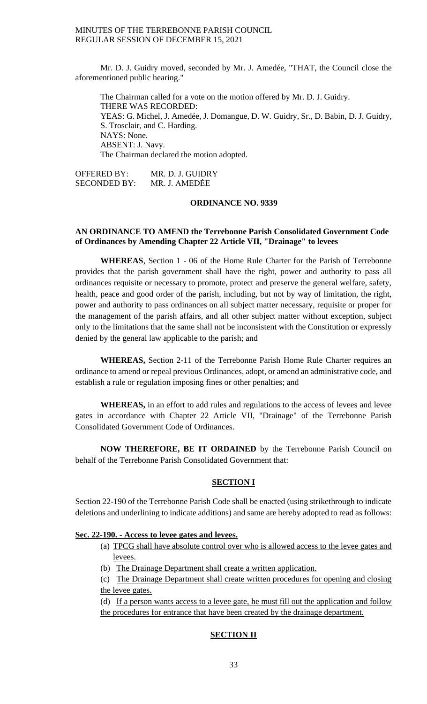Mr. D. J. Guidry moved, seconded by Mr. J. Amedée, "THAT, the Council close the aforementioned public hearing."

The Chairman called for a vote on the motion offered by Mr. D. J. Guidry. THERE WAS RECORDED: YEAS: G. Michel, J. Amedée, J. Domangue, D. W. Guidry, Sr., D. Babin, D. J. Guidry, S. Trosclair, and C. Harding. NAYS: None. ABSENT: J. Navy. The Chairman declared the motion adopted.

OFFERED BY: MR. D. J. GUIDRY SECONDED BY: MR. J. AMEDĖE

# **ORDINANCE NO. 9339**

## **AN ORDINANCE TO AMEND the Terrebonne Parish Consolidated Government Code of Ordinances by Amending Chapter 22 Article VII, "Drainage" to levees**

**WHEREAS**, Section 1 - 06 of the Home Rule Charter for the Parish of Terrebonne provides that the parish government shall have the right, power and authority to pass all ordinances requisite or necessary to promote, protect and preserve the general welfare, safety, health, peace and good order of the parish, including, but not by way of limitation, the right, power and authority to pass ordinances on all subject matter necessary, requisite or proper for the management of the parish affairs, and all other subject matter without exception, subject only to the limitations that the same shall not be inconsistent with the Constitution or expressly denied by the general law applicable to the parish; and

**WHEREAS,** Section 2-11 of the Terrebonne Parish Home Rule Charter requires an ordinance to amend or repeal previous Ordinances, adopt, or amend an administrative code, and establish a rule or regulation imposing fines or other penalties; and

WHEREAS, in an effort to add rules and regulations to the access of levees and levee gates in accordance with Chapter 22 Article VII, "Drainage" of the Terrebonne Parish Consolidated Government Code of Ordinances.

**NOW THEREFORE, BE IT ORDAINED** by the Terrebonne Parish Council on behalf of the Terrebonne Parish Consolidated Government that:

# **SECTION I**

Section 22-190 of the Terrebonne Parish Code shall be enacted (using strikethrough to indicate deletions and underlining to indicate additions) and same are hereby adopted to read as follows:

#### **Sec. 22-190. - Access to levee gates and levees.**

- (a) TPCG shall have absolute control over who is allowed access to the levee gates and levees.
- (b) The Drainage Department shall create a written application.
- (c) The Drainage Department shall create written procedures for opening and closing the levee gates.
- (d) If a person wants access to a levee gate, he must fill out the application and follow

the procedures for entrance that have been created by the drainage department.

# **SECTION II**